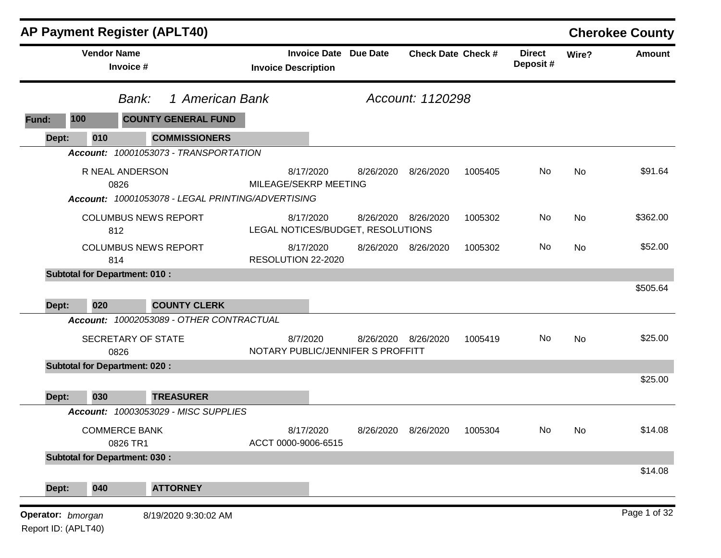|       |                    | <b>AP Payment Register (APLT40)</b>                                          |                                                            |           |                           |         |                           |       | <b>Cherokee County</b> |
|-------|--------------------|------------------------------------------------------------------------------|------------------------------------------------------------|-----------|---------------------------|---------|---------------------------|-------|------------------------|
|       | <b>Vendor Name</b> | Invoice #                                                                    | <b>Invoice Date Due Date</b><br><b>Invoice Description</b> |           | <b>Check Date Check #</b> |         | <b>Direct</b><br>Deposit# | Wire? | <b>Amount</b>          |
|       |                    | 1 American Bank<br>Bank:                                                     |                                                            |           | Account: 1120298          |         |                           |       |                        |
| Fund: | 100                | <b>COUNTY GENERAL FUND</b>                                                   |                                                            |           |                           |         |                           |       |                        |
| Dept: | 010                | <b>COMMISSIONERS</b>                                                         |                                                            |           |                           |         |                           |       |                        |
|       |                    | Account: 10001053073 - TRANSPORTATION                                        |                                                            |           |                           |         |                           |       |                        |
|       |                    | R NEAL ANDERSON<br>0826<br>Account: 10001053078 - LEGAL PRINTING/ADVERTISING | 8/17/2020<br>MILEAGE/SEKRP MEETING                         | 8/26/2020 | 8/26/2020                 | 1005405 | No                        | No    | \$91.64                |
|       |                    |                                                                              |                                                            |           |                           |         |                           |       |                        |
|       |                    | <b>COLUMBUS NEWS REPORT</b><br>812                                           | 8/17/2020<br>LEGAL NOTICES/BUDGET, RESOLUTIONS             |           | 8/26/2020 8/26/2020       | 1005302 | No                        | No    | \$362.00               |
|       | 814                | <b>COLUMBUS NEWS REPORT</b>                                                  | 8/17/2020<br>RESOLUTION 22-2020                            | 8/26/2020 | 8/26/2020                 | 1005302 | No                        | No    | \$52.00                |
|       |                    | <b>Subtotal for Department: 010:</b>                                         |                                                            |           |                           |         |                           |       |                        |
|       |                    |                                                                              |                                                            |           |                           |         |                           |       | \$505.64               |
| Dept: | 020                | <b>COUNTY CLERK</b>                                                          |                                                            |           |                           |         |                           |       |                        |
|       |                    | Account: 10002053089 - OTHER CONTRACTUAL                                     |                                                            |           |                           |         |                           |       |                        |
|       |                    | SECRETARY OF STATE<br>0826                                                   | 8/7/2020<br>NOTARY PUBLIC/JENNIFER S PROFFITT              | 8/26/2020 | 8/26/2020                 | 1005419 | No.                       | No    | \$25.00                |
|       |                    | <b>Subtotal for Department: 020:</b>                                         |                                                            |           |                           |         |                           |       |                        |
|       |                    |                                                                              |                                                            |           |                           |         |                           |       | \$25.00                |
|       |                    |                                                                              |                                                            |           |                           |         |                           |       |                        |
| Dept: | 030                | <b>TREASURER</b>                                                             |                                                            |           |                           |         |                           |       |                        |
|       |                    | Account: 10003053029 - MISC SUPPLIES                                         |                                                            |           |                           |         |                           |       |                        |
|       |                    | <b>COMMERCE BANK</b><br>0826 TR1                                             | 8/17/2020<br>ACCT 0000-9006-6515                           | 8/26/2020 | 8/26/2020                 | 1005304 | No                        | No.   | \$14.08                |
|       |                    | <b>Subtotal for Department: 030:</b>                                         |                                                            |           |                           |         |                           |       |                        |
| Dept: | 040                | <b>ATTORNEY</b>                                                              |                                                            |           |                           |         |                           |       | \$14.08                |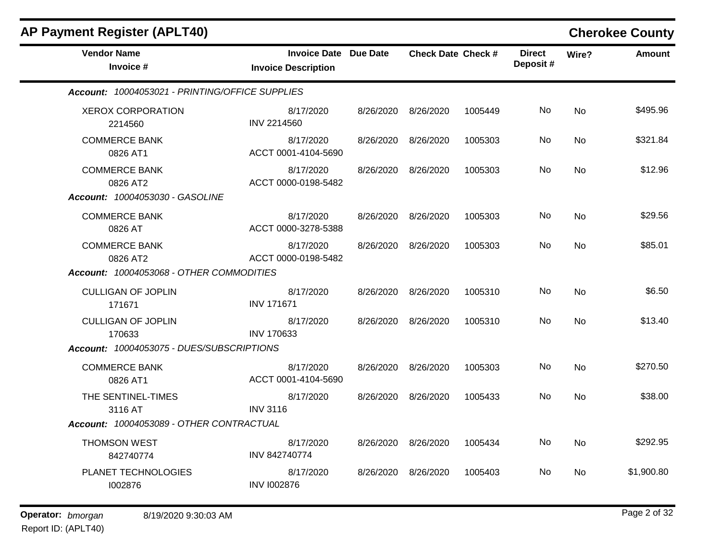| <b>AP Payment Register (APLT40)</b>                                        |                                                            |           |                           |         |                           |           | <b>Cherokee County</b> |
|----------------------------------------------------------------------------|------------------------------------------------------------|-----------|---------------------------|---------|---------------------------|-----------|------------------------|
| <b>Vendor Name</b><br>Invoice #                                            | <b>Invoice Date Due Date</b><br><b>Invoice Description</b> |           | <b>Check Date Check #</b> |         | <b>Direct</b><br>Deposit# | Wire?     | <b>Amount</b>          |
| Account: 10004053021 - PRINTING/OFFICE SUPPLIES                            |                                                            |           |                           |         |                           |           |                        |
| <b>XEROX CORPORATION</b><br>2214560                                        | 8/17/2020<br><b>INV 2214560</b>                            | 8/26/2020 | 8/26/2020                 | 1005449 | No                        | <b>No</b> | \$495.96               |
| <b>COMMERCE BANK</b><br>0826 AT1                                           | 8/17/2020<br>ACCT 0001-4104-5690                           | 8/26/2020 | 8/26/2020                 | 1005303 | No                        | No        | \$321.84               |
| <b>COMMERCE BANK</b><br>0826 AT2<br><b>Account: 10004053030 - GASOLINE</b> | 8/17/2020<br>ACCT 0000-0198-5482                           | 8/26/2020 | 8/26/2020                 | 1005303 | No                        | <b>No</b> | \$12.96                |
| <b>COMMERCE BANK</b><br>0826 AT                                            | 8/17/2020<br>ACCT 0000-3278-5388                           | 8/26/2020 | 8/26/2020                 | 1005303 | No                        | <b>No</b> | \$29.56                |
| <b>COMMERCE BANK</b><br>0826 AT2                                           | 8/17/2020<br>ACCT 0000-0198-5482                           | 8/26/2020 | 8/26/2020                 | 1005303 | No.                       | <b>No</b> | \$85.01                |
| Account: 10004053068 - OTHER COMMODITIES                                   |                                                            |           |                           |         |                           |           |                        |
| <b>CULLIGAN OF JOPLIN</b><br>171671                                        | 8/17/2020<br><b>INV 171671</b>                             | 8/26/2020 | 8/26/2020                 | 1005310 | No                        | No        | \$6.50                 |
| <b>CULLIGAN OF JOPLIN</b><br>170633                                        | 8/17/2020<br><b>INV 170633</b>                             | 8/26/2020 | 8/26/2020                 | 1005310 | No                        | <b>No</b> | \$13.40                |
| Account: 10004053075 - DUES/SUBSCRIPTIONS                                  |                                                            |           |                           |         |                           |           |                        |
| <b>COMMERCE BANK</b><br>0826 AT1                                           | 8/17/2020<br>ACCT 0001-4104-5690                           | 8/26/2020 | 8/26/2020                 | 1005303 | No                        | <b>No</b> | \$270.50               |
| THE SENTINEL-TIMES<br>3116 AT                                              | 8/17/2020<br><b>INV 3116</b>                               | 8/26/2020 | 8/26/2020                 | 1005433 | No                        | No        | \$38.00                |
| Account: 10004053089 - OTHER CONTRACTUAL                                   |                                                            |           |                           |         |                           |           |                        |
| <b>THOMSON WEST</b><br>842740774                                           | 8/17/2020<br>INV 842740774                                 | 8/26/2020 | 8/26/2020                 | 1005434 | No                        | <b>No</b> | \$292.95               |
| PLANET TECHNOLOGIES<br>1002876                                             | 8/17/2020<br><b>INV I002876</b>                            | 8/26/2020 | 8/26/2020                 | 1005403 | No                        | <b>No</b> | \$1,900.80             |
|                                                                            |                                                            |           |                           |         |                           |           |                        |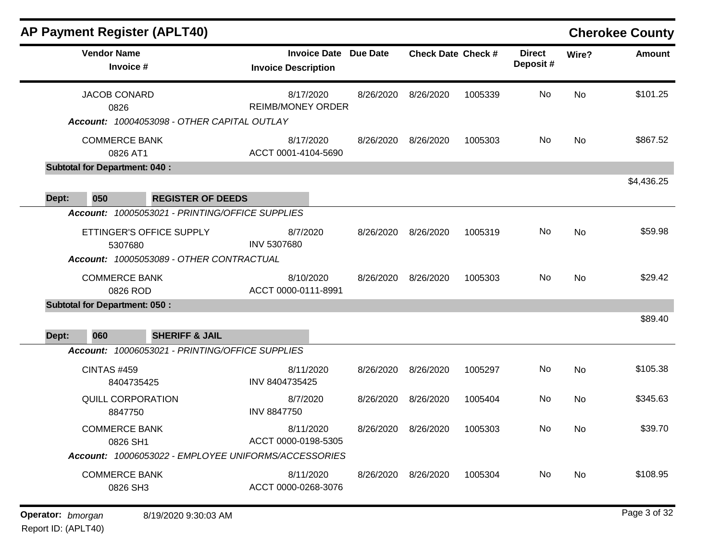|                                      |                                  | <b>AP Payment Register (APLT40)</b>                                         |                                |                              |           |                           |         |                           |           | <b>Cherokee County</b> |
|--------------------------------------|----------------------------------|-----------------------------------------------------------------------------|--------------------------------|------------------------------|-----------|---------------------------|---------|---------------------------|-----------|------------------------|
|                                      | <b>Vendor Name</b><br>Invoice #  |                                                                             | <b>Invoice Description</b>     | <b>Invoice Date Due Date</b> |           | <b>Check Date Check #</b> |         | <b>Direct</b><br>Deposit# | Wire?     | <b>Amount</b>          |
|                                      | <b>JACOB CONARD</b><br>0826      | Account: 10004053098 - OTHER CAPITAL OUTLAY                                 | <b>REIMB/MONEY ORDER</b>       | 8/17/2020                    | 8/26/2020 | 8/26/2020                 | 1005339 | No                        | <b>No</b> | \$101.25               |
|                                      | <b>COMMERCE BANK</b><br>0826 AT1 |                                                                             | ACCT 0001-4104-5690            | 8/17/2020                    | 8/26/2020 | 8/26/2020                 | 1005303 | No                        | No        | \$867.52               |
| <b>Subtotal for Department: 040:</b> |                                  |                                                                             |                                |                              |           |                           |         |                           |           |                        |
|                                      |                                  |                                                                             |                                |                              |           |                           |         |                           |           | \$4,436.25             |
| 050<br>Dept:                         |                                  | <b>REGISTER OF DEEDS</b><br>Account: 10005053021 - PRINTING/OFFICE SUPPLIES |                                |                              |           |                           |         |                           |           |                        |
|                                      | 5307680                          | ETTINGER'S OFFICE SUPPLY<br>Account: 10005053089 - OTHER CONTRACTUAL        | 8/7/2020<br>INV 5307680        |                              | 8/26/2020 | 8/26/2020                 | 1005319 | No                        | No        | \$59.98                |
|                                      | <b>COMMERCE BANK</b><br>0826 ROD |                                                                             | ACCT 0000-0111-8991            | 8/10/2020                    | 8/26/2020 | 8/26/2020                 | 1005303 | No                        | No        | \$29.42                |
| <b>Subtotal for Department: 050:</b> |                                  |                                                                             |                                |                              |           |                           |         |                           |           |                        |
| 060<br>Dept:                         |                                  | <b>SHERIFF &amp; JAIL</b>                                                   |                                |                              |           |                           |         |                           |           | \$89.40                |
|                                      |                                  | Account: 10006053021 - PRINTING/OFFICE SUPPLIES                             |                                |                              |           |                           |         |                           |           |                        |
|                                      | <b>CINTAS #459</b><br>8404735425 |                                                                             | INV 8404735425                 | 8/11/2020                    | 8/26/2020 | 8/26/2020                 | 1005297 | No                        | No        | \$105.38               |
|                                      | QUILL CORPORATION<br>8847750     |                                                                             | 8/7/2020<br><b>INV 8847750</b> |                              | 8/26/2020 | 8/26/2020                 | 1005404 | No                        | <b>No</b> | \$345.63               |
|                                      | <b>COMMERCE BANK</b><br>0826 SH1 |                                                                             | ACCT 0000-0198-5305            | 8/11/2020                    | 8/26/2020 | 8/26/2020                 | 1005303 | No                        | No        | \$39.70                |
|                                      |                                  | Account: 10006053022 - EMPLOYEE UNIFORMS/ACCESSORIES                        |                                |                              |           |                           |         |                           |           |                        |
|                                      | <b>COMMERCE BANK</b><br>0826 SH3 |                                                                             | ACCT 0000-0268-3076            | 8/11/2020                    | 8/26/2020 | 8/26/2020                 | 1005304 | No                        | No        | \$108.95               |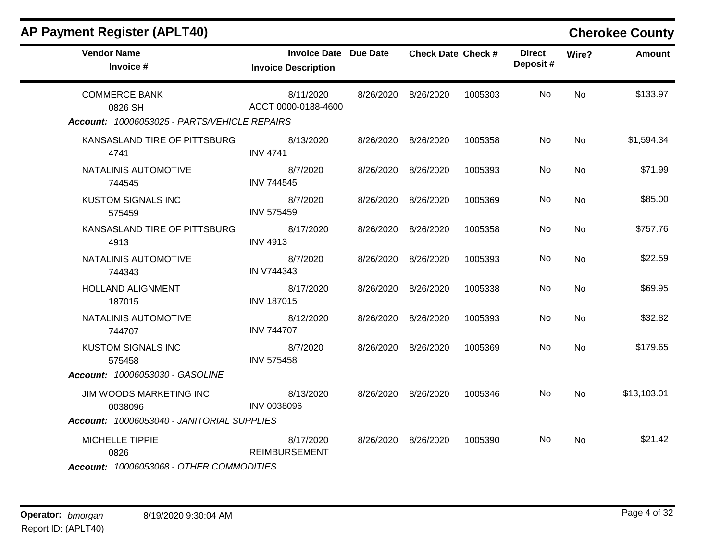| <b>AP Payment Register (APLT40)</b>                                              |                                                            |           |                           |         |                           |                | <b>Cherokee County</b> |
|----------------------------------------------------------------------------------|------------------------------------------------------------|-----------|---------------------------|---------|---------------------------|----------------|------------------------|
| <b>Vendor Name</b><br>Invoice #                                                  | <b>Invoice Date Due Date</b><br><b>Invoice Description</b> |           | <b>Check Date Check #</b> |         | <b>Direct</b><br>Deposit# | Wire?          | <b>Amount</b>          |
| <b>COMMERCE BANK</b><br>0826 SH<br>Account: 10006053025 - PARTS/VEHICLE REPAIRS  | 8/11/2020<br>ACCT 0000-0188-4600                           |           | 8/26/2020 8/26/2020       | 1005303 | No.                       | No             | \$133.97               |
| KANSASLAND TIRE OF PITTSBURG<br>4741                                             | 8/13/2020<br><b>INV 4741</b>                               |           | 8/26/2020 8/26/2020       | 1005358 | No                        | <b>No</b>      | \$1,594.34             |
| NATALINIS AUTOMOTIVE<br>744545                                                   | 8/7/2020<br><b>INV 744545</b>                              |           | 8/26/2020 8/26/2020       | 1005393 | No                        | No             | \$71.99                |
| <b>KUSTOM SIGNALS INC</b><br>575459                                              | 8/7/2020<br><b>INV 575459</b>                              |           | 8/26/2020 8/26/2020       | 1005369 | No                        | <b>No</b>      | \$85.00                |
| KANSASLAND TIRE OF PITTSBURG<br>4913                                             | 8/17/2020<br><b>INV 4913</b>                               |           | 8/26/2020 8/26/2020       | 1005358 | No                        | No             | \$757.76               |
| NATALINIS AUTOMOTIVE<br>744343                                                   | 8/7/2020<br>IN V744343                                     |           | 8/26/2020 8/26/2020       | 1005393 | No.                       | N <sub>0</sub> | \$22.59                |
| <b>HOLLAND ALIGNMENT</b><br>187015                                               | 8/17/2020<br><b>INV 187015</b>                             | 8/26/2020 | 8/26/2020                 | 1005338 | No                        | <b>No</b>      | \$69.95                |
| NATALINIS AUTOMOTIVE<br>744707                                                   | 8/12/2020<br><b>INV 744707</b>                             | 8/26/2020 | 8/26/2020                 | 1005393 | No                        | <b>No</b>      | \$32.82                |
| <b>KUSTOM SIGNALS INC</b><br>575458<br>Account: 10006053030 - GASOLINE           | 8/7/2020<br><b>INV 575458</b>                              | 8/26/2020 | 8/26/2020                 | 1005369 | No                        | No             | \$179.65               |
| JIM WOODS MARKETING INC<br>0038096<br>Account: 10006053040 - JANITORIAL SUPPLIES | 8/13/2020<br><b>INV 0038096</b>                            |           | 8/26/2020 8/26/2020       | 1005346 | No.                       | No             | \$13,103.01            |
| MICHELLE TIPPIE<br>0826<br>Account: 10006053068 - OTHER COMMODITIES              | 8/17/2020<br><b>REIMBURSEMENT</b>                          |           | 8/26/2020 8/26/2020       | 1005390 | No.                       | No             | \$21.42                |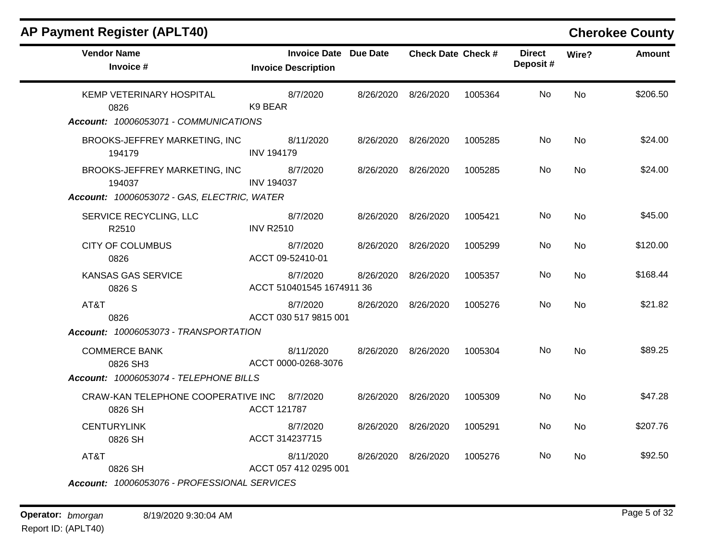| <b>Vendor Name</b><br>Invoice #               | <b>Invoice Date Due Date</b><br><b>Invoice Description</b> |           | <b>Check Date Check #</b> |         | <b>Direct</b><br>Deposit# | Wire?     | <b>Amount</b> |
|-----------------------------------------------|------------------------------------------------------------|-----------|---------------------------|---------|---------------------------|-----------|---------------|
| KEMP VETERINARY HOSPITAL<br>0826              | 8/7/2020<br>K9 BEAR                                        | 8/26/2020 | 8/26/2020                 | 1005364 | No                        | <b>No</b> | \$206.50      |
| Account: 10006053071 - COMMUNICATIONS         |                                                            |           |                           |         |                           |           |               |
| BROOKS-JEFFREY MARKETING, INC<br>194179       | 8/11/2020<br><b>INV 194179</b>                             | 8/26/2020 | 8/26/2020                 | 1005285 | No.                       | <b>No</b> | \$24.00       |
| BROOKS-JEFFREY MARKETING, INC<br>194037       | 8/7/2020<br><b>INV 194037</b>                              | 8/26/2020 | 8/26/2020                 | 1005285 | No                        | <b>No</b> | \$24.00       |
| Account: 10006053072 - GAS, ELECTRIC, WATER   |                                                            |           |                           |         |                           |           |               |
| SERVICE RECYCLING, LLC<br>R2510               | 8/7/2020<br><b>INV R2510</b>                               | 8/26/2020 | 8/26/2020                 | 1005421 | No                        | No        | \$45.00       |
| <b>CITY OF COLUMBUS</b><br>0826               | 8/7/2020<br>ACCT 09-52410-01                               | 8/26/2020 | 8/26/2020                 | 1005299 | No.                       | <b>No</b> | \$120.00      |
| <b>KANSAS GAS SERVICE</b><br>0826 S           | 8/7/2020<br>ACCT 510401545 1674911 36                      | 8/26/2020 | 8/26/2020                 | 1005357 | No                        | <b>No</b> | \$168.44      |
| AT&T<br>0826                                  | 8/7/2020<br>ACCT 030 517 9815 001                          | 8/26/2020 | 8/26/2020                 | 1005276 | No.                       | <b>No</b> | \$21.82       |
| Account: 10006053073 - TRANSPORTATION         |                                                            |           |                           |         |                           |           |               |
| <b>COMMERCE BANK</b><br>0826 SH3              | 8/11/2020<br>ACCT 0000-0268-3076                           | 8/26/2020 | 8/26/2020                 | 1005304 | No                        | <b>No</b> | \$89.25       |
| Account: 10006053074 - TELEPHONE BILLS        |                                                            |           |                           |         |                           |           |               |
| CRAW-KAN TELEPHONE COOPERATIVE INC<br>0826 SH | 8/7/2020<br>ACCT 121787                                    | 8/26/2020 | 8/26/2020                 | 1005309 | No                        | <b>No</b> | \$47.28       |
| <b>CENTURYLINK</b><br>0826 SH                 | 8/7/2020<br>ACCT 314237715                                 | 8/26/2020 | 8/26/2020                 | 1005291 | No                        | <b>No</b> | \$207.76      |
| AT&T<br>0826 SH                               | 8/11/2020<br>ACCT 057 412 0295 001                         | 8/26/2020 | 8/26/2020                 | 1005276 | No.                       | No        | \$92.50       |
| Account: 10006053076 - PROFESSIONAL SERVICES  |                                                            |           |                           |         |                           |           |               |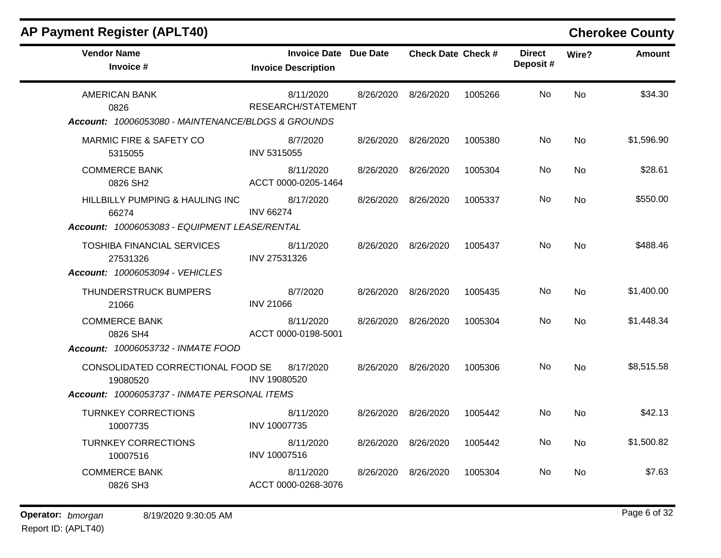| <b>Vendor Name</b><br>Invoice #                     | Invoice Date Due Date<br><b>Invoice Description</b> | <b>Check Date Check #</b> |         | <b>Direct</b><br>Deposit# | Wire?     | <b>Amount</b> |
|-----------------------------------------------------|-----------------------------------------------------|---------------------------|---------|---------------------------|-----------|---------------|
| <b>AMERICAN BANK</b><br>0826                        | 8/11/2020<br>RESEARCH/STATEMENT                     | 8/26/2020 8/26/2020       | 1005266 | No.                       | <b>No</b> | \$34.30       |
| Account: 10006053080 - MAINTENANCE/BLDGS & GROUNDS  |                                                     |                           |         |                           |           |               |
| <b>MARMIC FIRE &amp; SAFETY CO</b><br>5315055       | 8/7/2020<br>INV 5315055                             | 8/26/2020 8/26/2020       | 1005380 | No                        | <b>No</b> | \$1,596.90    |
| <b>COMMERCE BANK</b><br>0826 SH2                    | 8/11/2020<br>ACCT 0000-0205-1464                    | 8/26/2020 8/26/2020       | 1005304 | No.                       | <b>No</b> | \$28.61       |
| <b>HILLBILLY PUMPING &amp; HAULING INC</b><br>66274 | 8/17/2020<br><b>INV 66274</b>                       | 8/26/2020 8/26/2020       | 1005337 | No.                       | No        | \$550.00      |
| Account: 10006053083 - EQUIPMENT LEASE/RENTAL       |                                                     |                           |         |                           |           |               |
| <b>TOSHIBA FINANCIAL SERVICES</b><br>27531326       | 8/11/2020<br>INV 27531326                           | 8/26/2020 8/26/2020       | 1005437 | No.                       | No        | \$488.46      |
| Account: 10006053094 - VEHICLES                     |                                                     |                           |         |                           |           |               |
| THUNDERSTRUCK BUMPERS<br>21066                      | 8/7/2020<br><b>INV 21066</b>                        | 8/26/2020 8/26/2020       | 1005435 | No.                       | <b>No</b> | \$1,400.00    |
| <b>COMMERCE BANK</b><br>0826 SH4                    | 8/11/2020<br>ACCT 0000-0198-5001                    | 8/26/2020 8/26/2020       | 1005304 | No.                       | No        | \$1,448.34    |
| Account: 10006053732 - INMATE FOOD                  |                                                     |                           |         |                           |           |               |
| CONSOLIDATED CORRECTIONAL FOOD SE<br>19080520       | 8/17/2020<br>INV 19080520                           | 8/26/2020 8/26/2020       | 1005306 | No.                       | <b>No</b> | \$8,515.58    |
| Account: 10006053737 - INMATE PERSONAL ITEMS        |                                                     |                           |         |                           |           |               |
| <b>TURNKEY CORRECTIONS</b><br>10007735              | 8/11/2020<br>INV 10007735                           | 8/26/2020 8/26/2020       | 1005442 | No.                       | <b>No</b> | \$42.13       |
| <b>TURNKEY CORRECTIONS</b><br>10007516              | 8/11/2020<br>INV 10007516                           | 8/26/2020 8/26/2020       | 1005442 | No.                       | <b>No</b> | \$1,500.82    |
| <b>COMMERCE BANK</b><br>0826 SH3                    | 8/11/2020<br>ACCT 0000-0268-3076                    | 8/26/2020 8/26/2020       | 1005304 | No                        | No        | \$7.63        |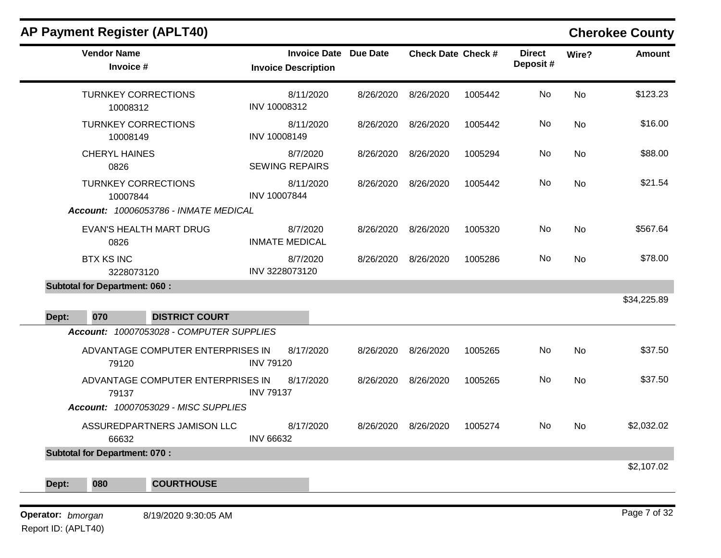| AF FAYILICIIL REYISLEI (AFLI4U)            |                                                            |           |                           |         |                           |           | <b>UNGLOKER COUNTY</b> |
|--------------------------------------------|------------------------------------------------------------|-----------|---------------------------|---------|---------------------------|-----------|------------------------|
| <b>Vendor Name</b><br>Invoice #            | <b>Invoice Date Due Date</b><br><b>Invoice Description</b> |           | <b>Check Date Check #</b> |         | <b>Direct</b><br>Deposit# | Wire?     | Amount                 |
| <b>TURNKEY CORRECTIONS</b><br>10008312     | 8/11/2020<br>INV 10008312                                  | 8/26/2020 | 8/26/2020                 | 1005442 | No                        | <b>No</b> | \$123.23               |
| <b>TURNKEY CORRECTIONS</b><br>10008149     | 8/11/2020<br>INV 10008149                                  | 8/26/2020 | 8/26/2020                 | 1005442 | No                        | <b>No</b> | \$16.00                |
| <b>CHERYL HAINES</b><br>0826               | 8/7/2020<br><b>SEWING REPAIRS</b>                          | 8/26/2020 | 8/26/2020                 | 1005294 | No                        | <b>No</b> | \$88.00                |
| <b>TURNKEY CORRECTIONS</b><br>10007844     | 8/11/2020<br>INV 10007844                                  | 8/26/2020 | 8/26/2020                 | 1005442 | No                        | <b>No</b> | \$21.54                |
| Account: 10006053786 - INMATE MEDICAL      |                                                            |           |                           |         |                           |           |                        |
| EVAN'S HEALTH MART DRUG<br>0826            | 8/7/2020<br><b>INMATE MEDICAL</b>                          | 8/26/2020 | 8/26/2020                 | 1005320 | <b>No</b>                 | <b>No</b> | \$567.64               |
| <b>BTX KS INC</b><br>3228073120            | 8/7/2020<br>INV 3228073120                                 | 8/26/2020 | 8/26/2020                 | 1005286 | No.                       | <b>No</b> | \$78.00                |
| <b>Subtotal for Department: 060:</b>       |                                                            |           |                           |         |                           |           |                        |
|                                            |                                                            |           |                           |         |                           |           | \$34,225.89            |
| 070<br><b>DISTRICT COURT</b><br>Dept:      |                                                            |           |                           |         |                           |           |                        |
| Account: 10007053028 - COMPUTER SUPPLIES   |                                                            |           |                           |         |                           |           |                        |
| ADVANTAGE COMPUTER ENTERPRISES IN<br>79120 | 8/17/2020<br><b>INV 79120</b>                              | 8/26/2020 | 8/26/2020                 | 1005265 | No                        | <b>No</b> | \$37.50                |
| ADVANTAGE COMPUTER ENTERPRISES IN<br>79137 | 8/17/2020<br><b>INV 79137</b>                              | 8/26/2020 | 8/26/2020                 | 1005265 | <b>No</b>                 | <b>No</b> | \$37.50                |
| Account: 10007053029 - MISC SUPPLIES       |                                                            |           |                           |         |                           |           |                        |
| ASSUREDPARTNERS JAMISON LLC<br>66632       | 8/17/2020<br><b>INV 66632</b>                              | 8/26/2020 | 8/26/2020                 | 1005274 | No                        | <b>No</b> | \$2,032.02             |
| <b>Subtotal for Department: 070:</b>       |                                                            |           |                           |         |                           |           |                        |

\$2,107.02

Report ID: (APLT40)

**Operator:** bmorgan 8/19/2020 9:30:05 AM **b Page 7 of 32** 

**Dept: 080 COURTHOUSE**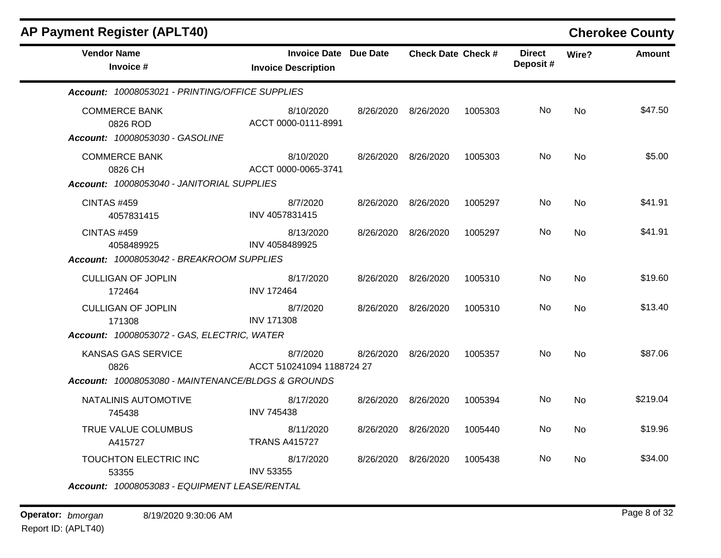| <b>AP Payment Register (APLT40)</b>                                            |                                                            |           |                           |         |                           |           | <b>Cherokee County</b> |
|--------------------------------------------------------------------------------|------------------------------------------------------------|-----------|---------------------------|---------|---------------------------|-----------|------------------------|
| <b>Vendor Name</b><br>Invoice #                                                | <b>Invoice Date Due Date</b><br><b>Invoice Description</b> |           | <b>Check Date Check #</b> |         | <b>Direct</b><br>Deposit# | Wire?     | <b>Amount</b>          |
| Account: 10008053021 - PRINTING/OFFICE SUPPLIES                                |                                                            |           |                           |         |                           |           |                        |
| <b>COMMERCE BANK</b><br>0826 ROD<br><b>Account: 10008053030 - GASOLINE</b>     | 8/10/2020<br>ACCT 0000-0111-8991                           | 8/26/2020 | 8/26/2020                 | 1005303 | No                        | <b>No</b> | \$47.50                |
| <b>COMMERCE BANK</b><br>0826 CH                                                | 8/10/2020<br>ACCT 0000-0065-3741                           | 8/26/2020 | 8/26/2020                 | 1005303 | No                        | No        | \$5.00                 |
| Account: 10008053040 - JANITORIAL SUPPLIES<br><b>CINTAS #459</b><br>4057831415 | 8/7/2020<br>INV 4057831415                                 | 8/26/2020 | 8/26/2020                 | 1005297 | No                        | <b>No</b> | \$41.91                |
| <b>CINTAS #459</b><br>4058489925<br>Account: 10008053042 - BREAKROOM SUPPLIES  | 8/13/2020<br>INV 4058489925                                | 8/26/2020 | 8/26/2020                 | 1005297 | No                        | <b>No</b> | \$41.91                |
| <b>CULLIGAN OF JOPLIN</b><br>172464                                            | 8/17/2020<br><b>INV 172464</b>                             | 8/26/2020 | 8/26/2020                 | 1005310 | No                        | <b>No</b> | \$19.60                |
| <b>CULLIGAN OF JOPLIN</b><br>171308                                            | 8/7/2020<br><b>INV 171308</b>                              | 8/26/2020 | 8/26/2020                 | 1005310 | No                        | <b>No</b> | \$13.40                |
| Account: 10008053072 - GAS, ELECTRIC, WATER                                    |                                                            |           |                           |         |                           |           |                        |
| KANSAS GAS SERVICE<br>0826                                                     | 8/7/2020<br>ACCT 510241094 1188724 27                      | 8/26/2020 | 8/26/2020                 | 1005357 | No                        | <b>No</b> | \$87.06                |
| Account: 10008053080 - MAINTENANCE/BLDGS & GROUNDS                             |                                                            |           |                           |         |                           |           |                        |
| NATALINIS AUTOMOTIVE<br>745438                                                 | 8/17/2020<br><b>INV 745438</b>                             | 8/26/2020 | 8/26/2020                 | 1005394 | No.                       | <b>No</b> | \$219.04               |
| TRUE VALUE COLUMBUS<br>A415727                                                 | 8/11/2020<br><b>TRANS A415727</b>                          | 8/26/2020 | 8/26/2020                 | 1005440 | No                        | <b>No</b> | \$19.96                |
| TOUCHTON ELECTRIC INC<br>53355                                                 | 8/17/2020<br><b>INV 53355</b>                              | 8/26/2020 | 8/26/2020                 | 1005438 | No                        | <b>No</b> | \$34.00                |
| Account: 10008053083 - EQUIPMENT LEASE/RENTAL                                  |                                                            |           |                           |         |                           |           |                        |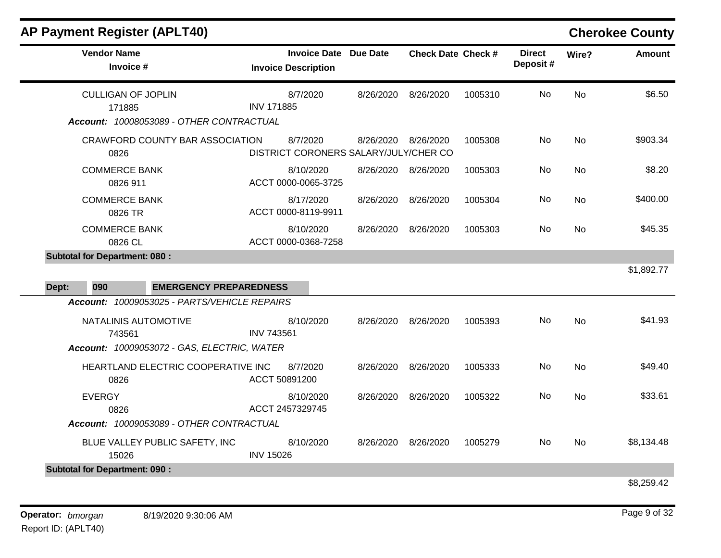|                                  |                                                                                                                                                                                                                                                                                                      |                     |                                       |                           |           | <b>Cherokee County</b> |
|----------------------------------|------------------------------------------------------------------------------------------------------------------------------------------------------------------------------------------------------------------------------------------------------------------------------------------------------|---------------------|---------------------------------------|---------------------------|-----------|------------------------|
| <b>Invoice Description</b>       | Due Date                                                                                                                                                                                                                                                                                             |                     |                                       | <b>Direct</b><br>Deposit# | Wire?     | <b>Amount</b>          |
| 8/7/2020<br><b>INV 171885</b>    | 8/26/2020                                                                                                                                                                                                                                                                                            | 8/26/2020           | 1005310                               | <b>No</b>                 | <b>No</b> | \$6.50                 |
| 8/7/2020                         | 8/26/2020                                                                                                                                                                                                                                                                                            | 8/26/2020           | 1005308                               | No                        | <b>No</b> | \$903.34               |
| 8/10/2020<br>ACCT 0000-0065-3725 | 8/26/2020                                                                                                                                                                                                                                                                                            | 8/26/2020           | 1005303                               | No                        | <b>No</b> | \$8.20                 |
| 8/17/2020<br>ACCT 0000-8119-9911 | 8/26/2020                                                                                                                                                                                                                                                                                            | 8/26/2020           | 1005304                               | No                        | <b>No</b> | \$400.00               |
| 8/10/2020<br>ACCT 0000-0368-7258 | 8/26/2020                                                                                                                                                                                                                                                                                            | 8/26/2020           | 1005303                               | No.                       | <b>No</b> | \$45.35                |
|                                  |                                                                                                                                                                                                                                                                                                      |                     |                                       |                           |           | \$1,892.77             |
|                                  |                                                                                                                                                                                                                                                                                                      |                     |                                       |                           |           |                        |
|                                  |                                                                                                                                                                                                                                                                                                      |                     |                                       |                           |           |                        |
| 8/10/2020<br><b>INV 743561</b>   | 8/26/2020                                                                                                                                                                                                                                                                                            | 8/26/2020           | 1005393                               | No.                       | <b>No</b> | \$41.93                |
| 8/7/2020<br>ACCT 50891200        | 8/26/2020                                                                                                                                                                                                                                                                                            | 8/26/2020           | 1005333                               | No                        | <b>No</b> | \$49.40                |
| 8/10/2020<br>ACCT 2457329745     | 8/26/2020                                                                                                                                                                                                                                                                                            | 8/26/2020           | 1005322                               | No                        | <b>No</b> | \$33.61                |
|                                  |                                                                                                                                                                                                                                                                                                      |                     |                                       |                           |           |                        |
| 8/10/2020<br><b>INV 15026</b>    | 8/26/2020                                                                                                                                                                                                                                                                                            | 8/26/2020           | 1005279                               | No.                       | No        | \$8,134.48             |
|                                  | Account: 10008053089 - OTHER CONTRACTUAL<br><b>CRAWFORD COUNTY BAR ASSOCIATION</b><br><b>EMERGENCY PREPAREDNESS</b><br>Account: 10009053025 - PARTS/VEHICLE REPAIRS<br>Account: 10009053072 - GAS, ELECTRIC, WATER<br>HEARTLAND ELECTRIC COOPERATIVE INC<br>Account: 10009053089 - OTHER CONTRACTUAL | <b>Invoice Date</b> | DISTRICT CORONERS SALARY/JULY/CHER CO | <b>Check Date Check #</b> |           |                        |

\$8,259.42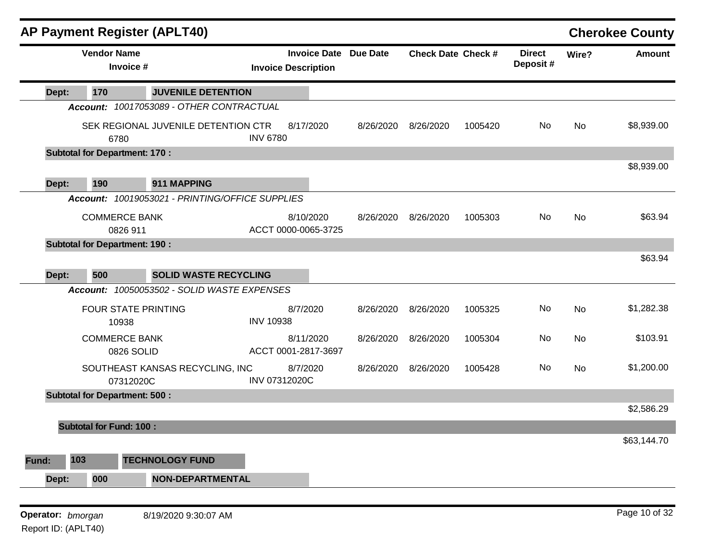|                   |                                      | <b>AP Payment Register (APLT40)</b>             |                  |                                                            |           |                           |         |                           |       | <b>Cherokee County</b> |
|-------------------|--------------------------------------|-------------------------------------------------|------------------|------------------------------------------------------------|-----------|---------------------------|---------|---------------------------|-------|------------------------|
|                   | <b>Vendor Name</b><br>Invoice #      |                                                 |                  | <b>Invoice Date Due Date</b><br><b>Invoice Description</b> |           | <b>Check Date Check #</b> |         | <b>Direct</b><br>Deposit# | Wire? | <b>Amount</b>          |
| Dept:             | 170                                  | <b>JUVENILE DETENTION</b>                       |                  |                                                            |           |                           |         |                           |       |                        |
|                   |                                      | Account: 10017053089 - OTHER CONTRACTUAL        |                  |                                                            |           |                           |         |                           |       |                        |
|                   | 6780                                 | SEK REGIONAL JUVENILE DETENTION CTR             | <b>INV 6780</b>  | 8/17/2020                                                  | 8/26/2020 | 8/26/2020                 | 1005420 | No                        | No    | \$8,939.00             |
|                   | <b>Subtotal for Department: 170:</b> |                                                 |                  |                                                            |           |                           |         |                           |       |                        |
| Dept:             | 190                                  | 911 MAPPING                                     |                  |                                                            |           |                           |         |                           |       | \$8,939.00             |
|                   |                                      | Account: 10019053021 - PRINTING/OFFICE SUPPLIES |                  |                                                            |           |                           |         |                           |       |                        |
|                   | <b>COMMERCE BANK</b><br>0826 911     |                                                 |                  | 8/10/2020<br>ACCT 0000-0065-3725                           | 8/26/2020 | 8/26/2020                 | 1005303 | No                        | No    | \$63.94                |
|                   | <b>Subtotal for Department: 190:</b> |                                                 |                  |                                                            |           |                           |         |                           |       |                        |
| Dept:             | 500                                  | <b>SOLID WASTE RECYCLING</b>                    |                  |                                                            |           |                           |         |                           |       | \$63.94                |
|                   |                                      | Account: 10050053502 - SOLID WASTE EXPENSES     |                  |                                                            |           |                           |         |                           |       |                        |
|                   | <b>FOUR STATE PRINTING</b><br>10938  |                                                 | <b>INV 10938</b> | 8/7/2020                                                   | 8/26/2020 | 8/26/2020                 | 1005325 | No                        | No    | \$1,282.38             |
|                   | <b>COMMERCE BANK</b><br>0826 SOLID   |                                                 |                  | 8/11/2020<br>ACCT 0001-2817-3697                           | 8/26/2020 | 8/26/2020                 | 1005304 | No                        | No    | \$103.91               |
|                   | 07312020C                            | SOUTHEAST KANSAS RECYCLING, INC                 | INV 07312020C    | 8/7/2020                                                   | 8/26/2020 | 8/26/2020                 | 1005428 | No                        | No    | \$1,200.00             |
|                   | <b>Subtotal for Department: 500:</b> |                                                 |                  |                                                            |           |                           |         |                           |       |                        |
|                   |                                      |                                                 |                  |                                                            |           |                           |         |                           |       | \$2,586.29             |
|                   | <b>Subtotal for Fund: 100:</b>       |                                                 |                  |                                                            |           |                           |         |                           |       |                        |
|                   |                                      |                                                 |                  |                                                            |           |                           |         |                           |       | \$63,144.70            |
| Fund:             | 103                                  | <b>TECHNOLOGY FUND</b>                          |                  |                                                            |           |                           |         |                           |       |                        |
| Dept:             | 000                                  | <b>NON-DEPARTMENTAL</b>                         |                  |                                                            |           |                           |         |                           |       |                        |
|                   |                                      |                                                 |                  |                                                            |           |                           |         |                           |       |                        |
| Operator: bmorgan |                                      | 8/19/2020 9:30:07 AM                            |                  |                                                            |           |                           |         |                           |       | Page 10 of 32          |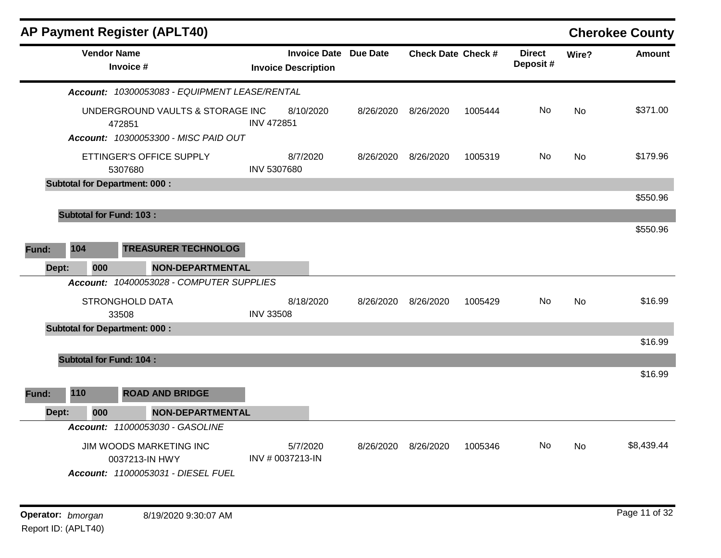| <b>AP Payment Register (APLT40)</b>                                                |                                                            |           |                           |         |                           |           | <b>Cherokee County</b> |
|------------------------------------------------------------------------------------|------------------------------------------------------------|-----------|---------------------------|---------|---------------------------|-----------|------------------------|
| <b>Vendor Name</b><br>Invoice #                                                    | <b>Invoice Date Due Date</b><br><b>Invoice Description</b> |           | <b>Check Date Check #</b> |         | <b>Direct</b><br>Deposit# | Wire?     | <b>Amount</b>          |
| Account: 10300053083 - EQUIPMENT LEASE/RENTAL                                      |                                                            |           |                           |         |                           |           |                        |
| UNDERGROUND VAULTS & STORAGE INC<br>472851<br>Account: 10300053300 - MISC PAID OUT | 8/10/2020<br><b>INV 472851</b>                             | 8/26/2020 | 8/26/2020                 | 1005444 | No.                       | <b>No</b> | \$371.00               |
| ETTINGER'S OFFICE SUPPLY<br>5307680                                                | 8/7/2020<br>INV 5307680                                    | 8/26/2020 | 8/26/2020                 | 1005319 | No.                       | <b>No</b> | \$179.96               |
| <b>Subtotal for Department: 000:</b>                                               |                                                            |           |                           |         |                           |           |                        |
|                                                                                    |                                                            |           |                           |         |                           |           | \$550.96               |
| <b>Subtotal for Fund: 103:</b>                                                     |                                                            |           |                           |         |                           |           |                        |
|                                                                                    |                                                            |           |                           |         |                           |           | \$550.96               |
| 104<br><b>TREASURER TECHNOLOG</b><br>Fund:                                         |                                                            |           |                           |         |                           |           |                        |
| 000<br><b>NON-DEPARTMENTAL</b><br>Dept:                                            |                                                            |           |                           |         |                           |           |                        |
| Account: 10400053028 - COMPUTER SUPPLIES                                           |                                                            |           |                           |         |                           |           |                        |
| <b>STRONGHOLD DATA</b>                                                             | 8/18/2020                                                  | 8/26/2020 | 8/26/2020                 | 1005429 | No.                       | <b>No</b> | \$16.99                |
| 33508                                                                              | <b>INV 33508</b>                                           |           |                           |         |                           |           |                        |
| <b>Subtotal for Department: 000:</b>                                               |                                                            |           |                           |         |                           |           | \$16.99                |
|                                                                                    |                                                            |           |                           |         |                           |           |                        |
| <b>Subtotal for Fund: 104:</b>                                                     |                                                            |           |                           |         |                           |           | \$16.99                |
| 110<br><b>ROAD AND BRIDGE</b><br><b>Fund:</b>                                      |                                                            |           |                           |         |                           |           |                        |
| 000<br><b>NON-DEPARTMENTAL</b><br>Dept:                                            |                                                            |           |                           |         |                           |           |                        |
| Account: 11000053030 - GASOLINE                                                    |                                                            |           |                           |         |                           |           |                        |
| JIM WOODS MARKETING INC<br>0037213-IN HWY<br>Account: 11000053031 - DIESEL FUEL    | 5/7/2020<br>INV # 0037213-IN                               | 8/26/2020 | 8/26/2020                 | 1005346 | No.                       | No        | \$8,439.44             |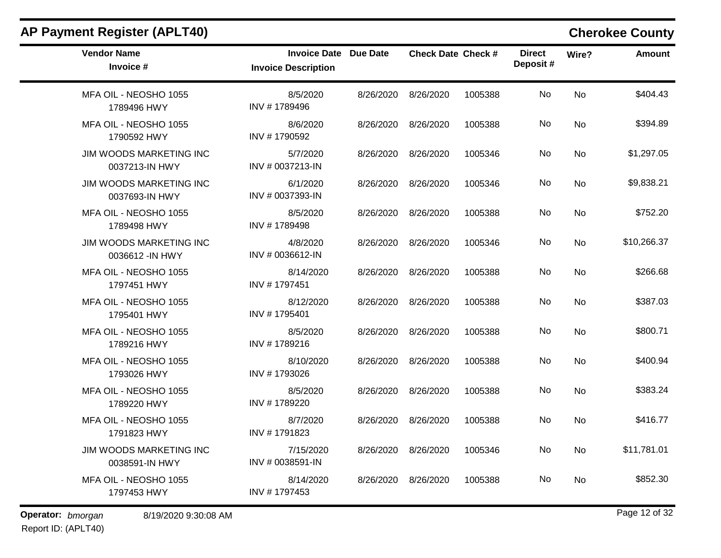| <b>Vendor Name</b>                                 | <b>Invoice Date Due Date</b>  |           | <b>Check Date Check #</b> |         | <b>Direct</b> |           |               |
|----------------------------------------------------|-------------------------------|-----------|---------------------------|---------|---------------|-----------|---------------|
| Invoice #                                          | <b>Invoice Description</b>    |           |                           |         | Deposit#      | Wire?     | <b>Amount</b> |
| MFA OIL - NEOSHO 1055<br>1789496 HWY               | 8/5/2020<br>INV #1789496      | 8/26/2020 | 8/26/2020                 | 1005388 | No            | <b>No</b> | \$404.43      |
| MFA OIL - NEOSHO 1055<br>1790592 HWY               | 8/6/2020<br>INV #1790592      | 8/26/2020 | 8/26/2020                 | 1005388 | No            | No        | \$394.89      |
| JIM WOODS MARKETING INC<br>0037213-IN HWY          | 5/7/2020<br>INV # 0037213-IN  | 8/26/2020 | 8/26/2020                 | 1005346 | No            | No        | \$1,297.05    |
| JIM WOODS MARKETING INC<br>0037693-IN HWY          | 6/1/2020<br>INV # 0037393-IN  | 8/26/2020 | 8/26/2020                 | 1005346 | No            | No        | \$9,838.21    |
| MFA OIL - NEOSHO 1055<br>1789498 HWY               | 8/5/2020<br>INV #1789498      | 8/26/2020 | 8/26/2020                 | 1005388 | No            | No        | \$752.20      |
| <b>JIM WOODS MARKETING INC</b><br>0036612 - IN HWY | 4/8/2020<br>INV # 0036612-IN  | 8/26/2020 | 8/26/2020                 | 1005346 | No            | No        | \$10,266.37   |
| MFA OIL - NEOSHO 1055<br>1797451 HWY               | 8/14/2020<br>INV #1797451     | 8/26/2020 | 8/26/2020                 | 1005388 | No            | No        | \$266.68      |
| MFA OIL - NEOSHO 1055<br>1795401 HWY               | 8/12/2020<br>INV #1795401     | 8/26/2020 | 8/26/2020                 | 1005388 | No            | No        | \$387.03      |
| MFA OIL - NEOSHO 1055<br>1789216 HWY               | 8/5/2020<br>INV #1789216      | 8/26/2020 | 8/26/2020                 | 1005388 | No            | <b>No</b> | \$800.71      |
| MFA OIL - NEOSHO 1055<br>1793026 HWY               | 8/10/2020<br>INV #1793026     | 8/26/2020 | 8/26/2020                 | 1005388 | No            | No        | \$400.94      |
| MFA OIL - NEOSHO 1055<br>1789220 HWY               | 8/5/2020<br>INV #1789220      | 8/26/2020 | 8/26/2020                 | 1005388 | No            | No        | \$383.24      |
| MFA OIL - NEOSHO 1055<br>1791823 HWY               | 8/7/2020<br>INV #1791823      | 8/26/2020 | 8/26/2020                 | 1005388 | No            | No        | \$416.77      |
| JIM WOODS MARKETING INC<br>0038591-IN HWY          | 7/15/2020<br>INV # 0038591-IN |           | 8/26/2020 8/26/2020       | 1005346 | No            | No        | \$11,781.01   |
| MFA OIL - NEOSHO 1055<br>1797453 HWY               | 8/14/2020<br>INV #1797453     | 8/26/2020 | 8/26/2020                 | 1005388 | No            | No        | \$852.30      |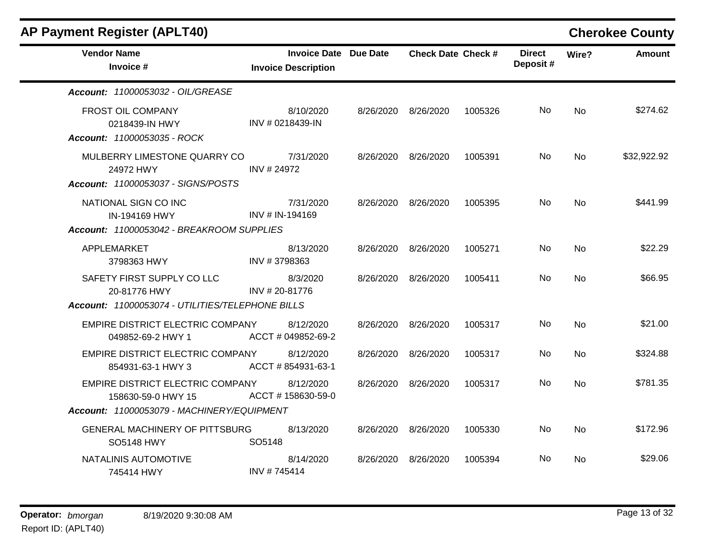| <b>AP Payment Register (APLT40)</b>                                |                                                            |           |                    |         |                           |           | <b>Cherokee County</b> |
|--------------------------------------------------------------------|------------------------------------------------------------|-----------|--------------------|---------|---------------------------|-----------|------------------------|
| <b>Vendor Name</b><br>Invoice #                                    | <b>Invoice Date Due Date</b><br><b>Invoice Description</b> |           | Check Date Check # |         | <b>Direct</b><br>Deposit# | Wire?     | <b>Amount</b>          |
| Account: 11000053032 - OIL/GREASE                                  |                                                            |           |                    |         |                           |           |                        |
| FROST OIL COMPANY<br>0218439-IN HWY<br>Account: 11000053035 - ROCK | 8/10/2020<br>INV # 0218439-IN                              | 8/26/2020 | 8/26/2020          | 1005326 | No                        | <b>No</b> | \$274.62               |
| MULBERRY LIMESTONE QUARRY CO<br>24972 HWY                          | 7/31/2020<br>INV # 24972                                   | 8/26/2020 | 8/26/2020          | 1005391 | No                        | No        | \$32,922.92            |
| Account: 11000053037 - SIGNS/POSTS                                 |                                                            |           |                    |         |                           |           |                        |
| NATIONAL SIGN CO INC<br>IN-194169 HWY                              | 7/31/2020<br>INV # IN-194169                               | 8/26/2020 | 8/26/2020          | 1005395 | No.                       | <b>No</b> | \$441.99               |
| Account: 11000053042 - BREAKROOM SUPPLIES                          |                                                            |           |                    |         |                           |           |                        |
| APPLEMARKET<br>3798363 HWY                                         | 8/13/2020<br>INV #3798363                                  | 8/26/2020 | 8/26/2020          | 1005271 | No                        | No        | \$22.29                |
| SAFETY FIRST SUPPLY CO LLC<br>20-81776 HWY                         | 8/3/2020<br>INV # 20-81776                                 | 8/26/2020 | 8/26/2020          | 1005411 | No.                       | <b>No</b> | \$66.95                |
| Account: 11000053074 - UTILITIES/TELEPHONE BILLS                   |                                                            |           |                    |         |                           |           |                        |
| EMPIRE DISTRICT ELECTRIC COMPANY<br>049852-69-2 HWY 1              | 8/12/2020<br>ACCT # 049852-69-2                            | 8/26/2020 | 8/26/2020          | 1005317 | No.                       | <b>No</b> | \$21.00                |
| EMPIRE DISTRICT ELECTRIC COMPANY<br>854931-63-1 HWY 3              | 8/12/2020<br>ACCT #854931-63-1                             | 8/26/2020 | 8/26/2020          | 1005317 | No                        | No        | \$324.88               |
| EMPIRE DISTRICT ELECTRIC COMPANY<br>158630-59-0 HWY 15             | 8/12/2020<br>ACCT #158630-59-0                             | 8/26/2020 | 8/26/2020          | 1005317 | No.                       | <b>No</b> | \$781.35               |
| Account: 11000053079 - MACHINERY/EQUIPMENT                         |                                                            |           |                    |         |                           |           |                        |
| <b>GENERAL MACHINERY OF PITTSBURG</b><br><b>SO5148 HWY</b>         | 8/13/2020<br>SO5148                                        | 8/26/2020 | 8/26/2020          | 1005330 | No.                       | No        | \$172.96               |
| NATALINIS AUTOMOTIVE<br>745414 HWY                                 | 8/14/2020<br>INV #745414                                   | 8/26/2020 | 8/26/2020          | 1005394 | No.                       | No        | \$29.06                |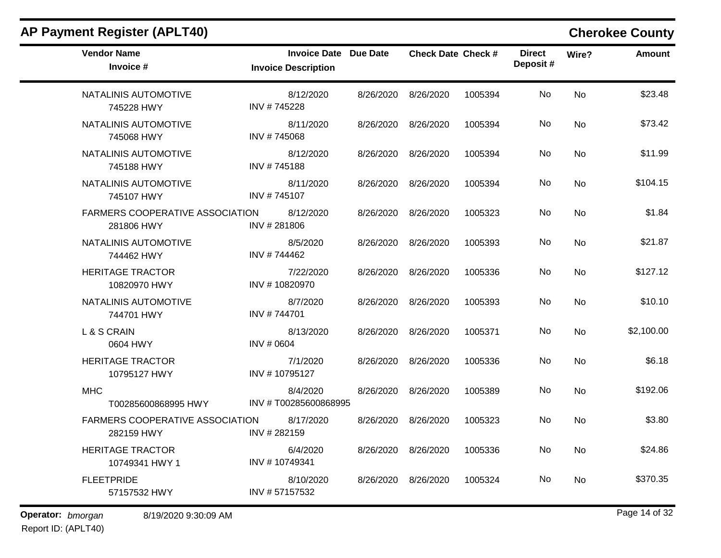| <b>Vendor Name</b><br>Invoice #                      | <b>Invoice Date</b><br><b>Invoice Description</b> | Due Date  | <b>Check Date Check #</b>   |         | <b>Direct</b><br>Deposit# | Wire?     | <b>Amount</b> |
|------------------------------------------------------|---------------------------------------------------|-----------|-----------------------------|---------|---------------------------|-----------|---------------|
| NATALINIS AUTOMOTIVE<br>745228 HWY                   | 8/12/2020<br>INV #745228                          | 8/26/2020 | 8/26/2020                   | 1005394 | No                        | <b>No</b> | \$23.48       |
| NATALINIS AUTOMOTIVE<br>745068 HWY                   | 8/11/2020<br>INV #745068                          | 8/26/2020 | 8/26/2020                   | 1005394 | No                        | No        | \$73.42       |
| NATALINIS AUTOMOTIVE<br>745188 HWY                   | 8/12/2020<br>INV #745188                          | 8/26/2020 | 8/26/2020                   | 1005394 | No                        | <b>No</b> | \$11.99       |
| NATALINIS AUTOMOTIVE<br>745107 HWY                   | 8/11/2020<br>INV #745107                          | 8/26/2020 | 8/26/2020                   | 1005394 | No                        | <b>No</b> | \$104.15      |
| <b>FARMERS COOPERATIVE ASSOCIATION</b><br>281806 HWY | 8/12/2020<br>INV #281806                          | 8/26/2020 | 8/26/2020                   | 1005323 | No                        | No        | \$1.84        |
| NATALINIS AUTOMOTIVE<br>744462 HWY                   | 8/5/2020<br>INV #744462                           | 8/26/2020 | 8/26/2020                   | 1005393 | No                        | No        | \$21.87       |
| <b>HERITAGE TRACTOR</b><br>10820970 HWY              | 7/22/2020<br>INV #10820970                        | 8/26/2020 | 8/26/2020                   | 1005336 | No                        | <b>No</b> | \$127.12      |
| NATALINIS AUTOMOTIVE<br>744701 HWY                   | 8/7/2020<br>INV #744701                           |           | 8/26/2020 8/26/2020         | 1005393 | No                        | No        | \$10.10       |
| L & S CRAIN<br>0604 HWY                              | 8/13/2020<br>INV # 0604                           |           | 8/26/2020 8/26/2020         | 1005371 | No                        | No        | \$2,100.00    |
| <b>HERITAGE TRACTOR</b><br>10795127 HWY              | 7/1/2020<br>INV #10795127                         | 8/26/2020 | 8/26/2020                   | 1005336 | No                        | <b>No</b> | \$6.18        |
| <b>MHC</b><br>T00285600868995 HWY                    | 8/4/2020<br>INV #T00285600868995                  | 8/26/2020 | 8/26/2020                   | 1005389 | No                        | <b>No</b> | \$192.06      |
| FARMERS COOPERATIVE ASSOCIATION<br>282159 HWY        | 8/17/2020<br>INV #282159                          |           | 8/26/2020 8/26/2020         | 1005323 | No.                       | No        | \$3.80        |
| <b>HERITAGE TRACTOR</b><br>10749341 HWY 1            | 6/4/2020<br>INV #10749341                         |           | 8/26/2020 8/26/2020 1005336 |         | No                        | No        | \$24.86       |
| <b>FLEETPRIDE</b><br>57157532 HWY                    | 8/10/2020<br>INV #57157532                        | 8/26/2020 | 8/26/2020                   | 1005324 | No                        | No        | \$370.35      |
| Operator: bmorgan<br>8/19/2020 9:30:09 AM            |                                                   |           |                             |         |                           |           | Page 14 of 32 |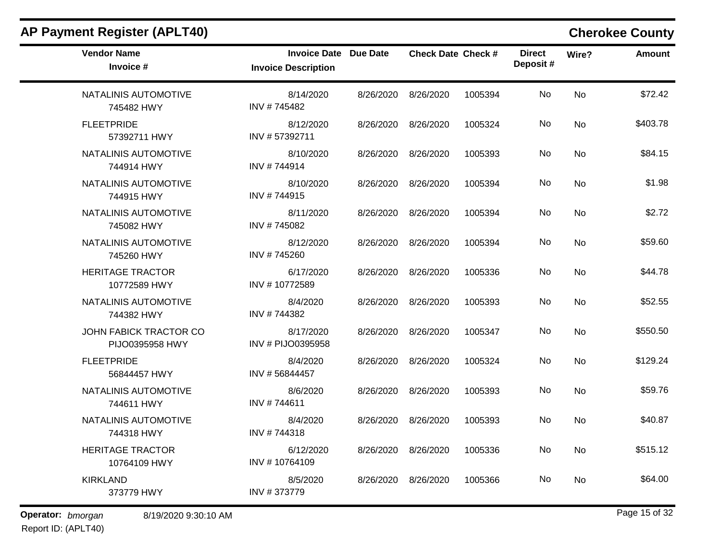| <b>AP Payment Register (APLT40)</b>       |                                                            |           |                           |         |                           |           | <b>Cherokee County</b> |
|-------------------------------------------|------------------------------------------------------------|-----------|---------------------------|---------|---------------------------|-----------|------------------------|
| <b>Vendor Name</b><br>Invoice #           | <b>Invoice Date Due Date</b><br><b>Invoice Description</b> |           | <b>Check Date Check #</b> |         | <b>Direct</b><br>Deposit# | Wire?     | <b>Amount</b>          |
| NATALINIS AUTOMOTIVE<br>745482 HWY        | 8/14/2020<br>INV #745482                                   | 8/26/2020 | 8/26/2020                 | 1005394 | No                        | No        | \$72.42                |
| <b>FLEETPRIDE</b><br>57392711 HWY         | 8/12/2020<br>INV #57392711                                 | 8/26/2020 | 8/26/2020                 | 1005324 | No                        | No        | \$403.78               |
| NATALINIS AUTOMOTIVE<br>744914 HWY        | 8/10/2020<br>INV #744914                                   | 8/26/2020 | 8/26/2020                 | 1005393 | No                        | No        | \$84.15                |
| NATALINIS AUTOMOTIVE<br>744915 HWY        | 8/10/2020<br>INV #744915                                   | 8/26/2020 | 8/26/2020                 | 1005394 | No                        | <b>No</b> | \$1.98                 |
| NATALINIS AUTOMOTIVE<br>745082 HWY        | 8/11/2020<br>INV #745082                                   | 8/26/2020 | 8/26/2020                 | 1005394 | No                        | <b>No</b> | \$2.72                 |
| NATALINIS AUTOMOTIVE<br>745260 HWY        | 8/12/2020<br>INV #745260                                   | 8/26/2020 | 8/26/2020                 | 1005394 | No                        | No        | \$59.60                |
| <b>HERITAGE TRACTOR</b><br>10772589 HWY   | 6/17/2020<br>INV #10772589                                 | 8/26/2020 | 8/26/2020                 | 1005336 | No                        | No        | \$44.78                |
| NATALINIS AUTOMOTIVE<br>744382 HWY        | 8/4/2020<br>INV #744382                                    | 8/26/2020 | 8/26/2020                 | 1005393 | No                        | No        | \$52.55                |
| JOHN FABICK TRACTOR CO<br>PIJO0395958 HWY | 8/17/2020<br>INV # PIJO0395958                             | 8/26/2020 | 8/26/2020                 | 1005347 | No                        | <b>No</b> | \$550.50               |
| <b>FLEETPRIDE</b><br>56844457 HWY         | 8/4/2020<br>INV #56844457                                  | 8/26/2020 | 8/26/2020                 | 1005324 | No                        | No        | \$129.24               |
| NATALINIS AUTOMOTIVE<br>744611 HWY        | 8/6/2020<br>INV #744611                                    | 8/26/2020 | 8/26/2020                 | 1005393 | No                        | No        | \$59.76                |
| NATALINIS AUTOMOTIVE<br>744318 HWY        | 8/4/2020<br>INV #744318                                    | 8/26/2020 | 8/26/2020                 | 1005393 | No                        | No        | \$40.87                |
| <b>HERITAGE TRACTOR</b><br>10764109 HWY   | 6/12/2020<br>INV #10764109                                 |           | 8/26/2020 8/26/2020       | 1005336 | No                        | No        | \$515.12               |
| <b>KIRKLAND</b><br>373779 HWY             | 8/5/2020<br>INV #373779                                    | 8/26/2020 | 8/26/2020                 | 1005366 | No                        | No        | \$64.00                |
| Operator: bmorgan<br>8/19/2020 9:30:10 AM |                                                            |           |                           |         |                           |           | Page 15 of 32          |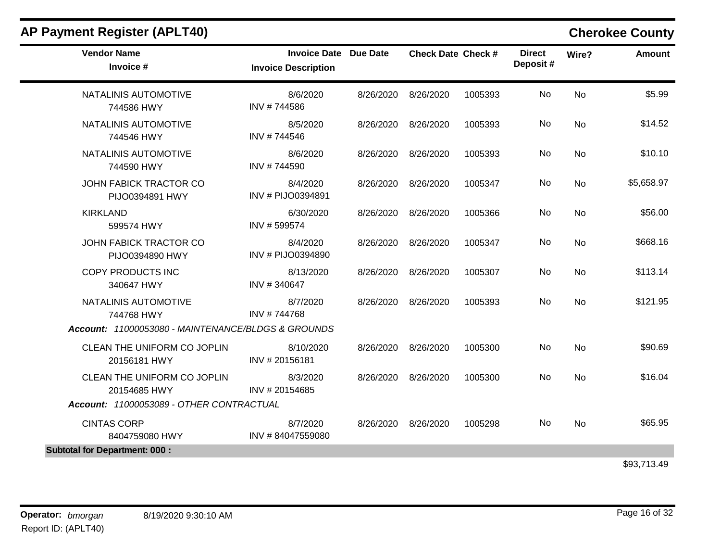| <b>Vendor Name</b><br>Invoice #                    | <b>Invoice Date Due Date</b><br><b>Invoice Description</b> |           | <b>Check Date Check #</b> |         | <b>Direct</b><br>Deposit# | Wire?     | <b>Amount</b> |
|----------------------------------------------------|------------------------------------------------------------|-----------|---------------------------|---------|---------------------------|-----------|---------------|
| NATALINIS AUTOMOTIVE<br>744586 HWY                 | 8/6/2020<br>INV #744586                                    | 8/26/2020 | 8/26/2020                 | 1005393 | No                        | <b>No</b> | \$5.99        |
| NATALINIS AUTOMOTIVE<br>744546 HWY                 | 8/5/2020<br>INV #744546                                    | 8/26/2020 | 8/26/2020                 | 1005393 | No                        | <b>No</b> | \$14.52       |
| NATALINIS AUTOMOTIVE<br>744590 HWY                 | 8/6/2020<br>INV #744590                                    |           | 8/26/2020 8/26/2020       | 1005393 | No                        | No        | \$10.10       |
| JOHN FABICK TRACTOR CO<br>PIJO0394891 HWY          | 8/4/2020<br>INV # PIJO0394891                              | 8/26/2020 | 8/26/2020                 | 1005347 | No                        | No        | \$5,658.97    |
| <b>KIRKLAND</b><br>599574 HWY                      | 6/30/2020<br>INV #599574                                   | 8/26/2020 | 8/26/2020                 | 1005366 | No                        | No        | \$56.00       |
| JOHN FABICK TRACTOR CO<br>PIJO0394890 HWY          | 8/4/2020<br>INV # PIJO0394890                              | 8/26/2020 | 8/26/2020                 | 1005347 | No                        | No        | \$668.16      |
| <b>COPY PRODUCTS INC</b><br>340647 HWY             | 8/13/2020<br>INV #340647                                   | 8/26/2020 | 8/26/2020                 | 1005307 | No                        | <b>No</b> | \$113.14      |
| NATALINIS AUTOMOTIVE<br>744768 HWY                 | 8/7/2020<br>INV #744768                                    | 8/26/2020 | 8/26/2020                 | 1005393 | No                        | <b>No</b> | \$121.95      |
| Account: 11000053080 - MAINTENANCE/BLDGS & GROUNDS |                                                            |           |                           |         |                           |           |               |
| CLEAN THE UNIFORM CO JOPLIN<br>20156181 HWY        | 8/10/2020<br>INV #20156181                                 |           | 8/26/2020 8/26/2020       | 1005300 | No                        | No        | \$90.69       |
| CLEAN THE UNIFORM CO JOPLIN<br>20154685 HWY        | 8/3/2020<br>INV #20154685                                  | 8/26/2020 | 8/26/2020                 | 1005300 | <b>No</b>                 | No        | \$16.04       |
| Account: 11000053089 - OTHER CONTRACTUAL           |                                                            |           |                           |         |                           |           |               |
| <b>CINTAS CORP</b><br>8404759080 HWY               | 8/7/2020<br>INV #84047559080                               | 8/26/2020 | 8/26/2020                 | 1005298 | No                        | <b>No</b> | \$65.95       |
| <b>Subtotal for Department: 000:</b>               |                                                            |           |                           |         |                           |           |               |
|                                                    |                                                            |           |                           |         |                           |           | \$93,713.49   |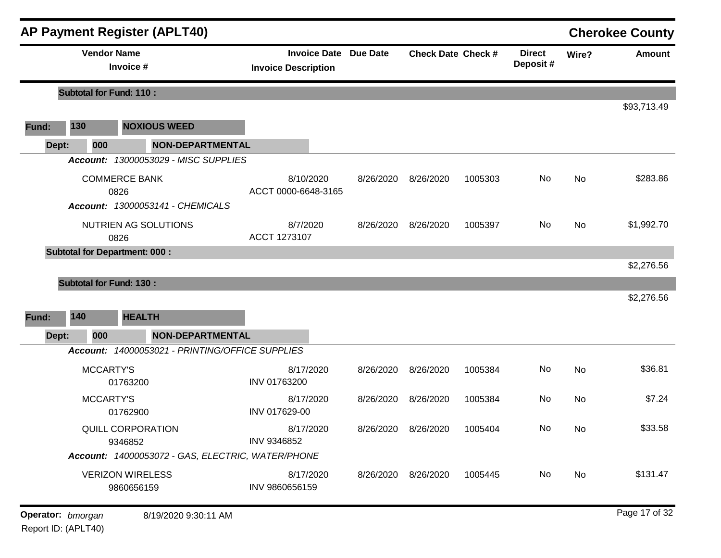|       |                                      |                                       | <b>AP Payment Register (APLT40)</b>               |                            |           |                              |                           |         |                           |           | <b>Cherokee County</b> |
|-------|--------------------------------------|---------------------------------------|---------------------------------------------------|----------------------------|-----------|------------------------------|---------------------------|---------|---------------------------|-----------|------------------------|
|       |                                      | <b>Vendor Name</b><br>Invoice #       |                                                   | <b>Invoice Description</b> |           | <b>Invoice Date Due Date</b> | <b>Check Date Check #</b> |         | <b>Direct</b><br>Deposit# | Wire?     | <b>Amount</b>          |
|       | <b>Subtotal for Fund: 110:</b>       |                                       |                                                   |                            |           |                              |                           |         |                           |           |                        |
| Fund: | 130                                  |                                       | <b>NOXIOUS WEED</b>                               |                            |           |                              |                           |         |                           |           | \$93,713.49            |
| Dept: | 000                                  |                                       | NON-DEPARTMENTAL                                  |                            |           |                              |                           |         |                           |           |                        |
|       |                                      |                                       | Account: 13000053029 - MISC SUPPLIES              |                            |           |                              |                           |         |                           |           |                        |
|       |                                      | <b>COMMERCE BANK</b>                  |                                                   | 8/10/2020                  |           | 8/26/2020                    | 8/26/2020                 | 1005303 | No                        | No        | \$283.86               |
|       |                                      | 0826                                  | Account: 13000053141 - CHEMICALS                  | ACCT 0000-6648-3165        |           |                              |                           |         |                           |           |                        |
|       |                                      |                                       | NUTRIEN AG SOLUTIONS                              | 8/7/2020                   |           | 8/26/2020                    | 8/26/2020                 | 1005397 | No                        | <b>No</b> | \$1,992.70             |
|       |                                      | 0826                                  |                                                   | ACCT 1273107               |           |                              |                           |         |                           |           |                        |
|       | <b>Subtotal for Department: 000:</b> |                                       |                                                   |                            |           |                              |                           |         |                           |           | \$2,276.56             |
|       | <b>Subtotal for Fund: 130:</b>       |                                       |                                                   |                            |           |                              |                           |         |                           |           |                        |
|       |                                      |                                       |                                                   |                            |           |                              |                           |         |                           |           | \$2,276.56             |
| Fund: | 140                                  | <b>HEALTH</b>                         |                                                   |                            |           |                              |                           |         |                           |           |                        |
| Dept: | 000                                  |                                       | <b>NON-DEPARTMENTAL</b>                           |                            |           |                              |                           |         |                           |           |                        |
|       |                                      |                                       | Account: 14000053021 - PRINTING/OFFICE SUPPLIES   |                            |           |                              |                           |         |                           |           |                        |
|       |                                      | MCCARTY'S<br>01763200                 |                                                   | INV 01763200               | 8/17/2020 | 8/26/2020                    | 8/26/2020                 | 1005384 | No                        | <b>No</b> | \$36.81                |
|       |                                      | <b>MCCARTY'S</b><br>01762900          |                                                   | 8/17/2020<br>INV 017629-00 |           | 8/26/2020                    | 8/26/2020                 | 1005384 | No                        | No        | \$7.24                 |
|       |                                      | QUILL CORPORATION<br>9346852          |                                                   | INV 9346852                | 8/17/2020 |                              | 8/26/2020 8/26/2020       | 1005404 | No                        | No.       | \$33.58                |
|       |                                      |                                       | Account: 14000053072 - GAS, ELECTRIC, WATER/PHONE |                            |           |                              |                           |         |                           |           |                        |
|       |                                      | <b>VERIZON WIRELESS</b><br>9860656159 |                                                   | INV 9860656159             | 8/17/2020 |                              | 8/26/2020 8/26/2020       | 1005445 | No                        | No        | \$131.47               |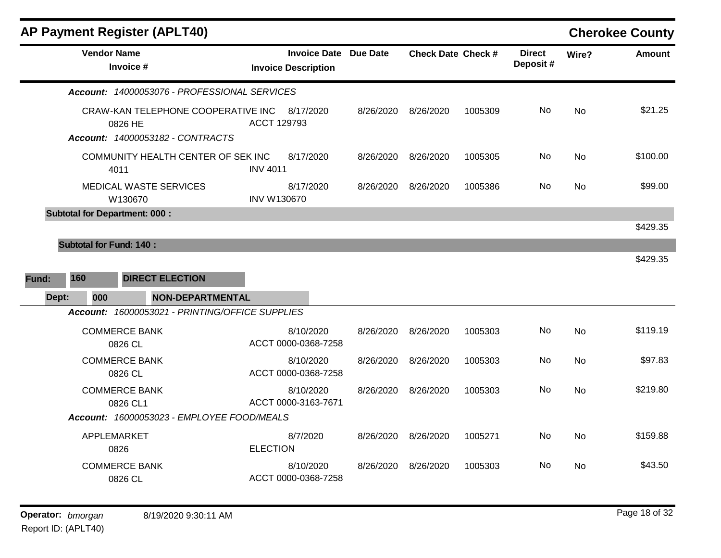| <b>AP Payment Register (APLT40)</b>                                               |                                                            |           |                           |         |                           |           | <b>Cherokee County</b> |
|-----------------------------------------------------------------------------------|------------------------------------------------------------|-----------|---------------------------|---------|---------------------------|-----------|------------------------|
| <b>Vendor Name</b><br>Invoice #                                                   | <b>Invoice Date Due Date</b><br><b>Invoice Description</b> |           | <b>Check Date Check #</b> |         | <b>Direct</b><br>Deposit# | Wire?     | <b>Amount</b>          |
| Account: 14000053076 - PROFESSIONAL SERVICES                                      |                                                            |           |                           |         |                           |           |                        |
| CRAW-KAN TELEPHONE COOPERATIVE INC<br>0826 HE<br>Account: 14000053182 - CONTRACTS | 8/17/2020<br>ACCT 129793                                   | 8/26/2020 | 8/26/2020                 | 1005309 | No                        | <b>No</b> | \$21.25                |
| COMMUNITY HEALTH CENTER OF SEK INC<br>4011                                        | 8/17/2020<br><b>INV 4011</b>                               | 8/26/2020 | 8/26/2020                 | 1005305 | No.                       | No        | \$100.00               |
| <b>MEDICAL WASTE SERVICES</b><br>W130670                                          | 8/17/2020<br><b>INV W130670</b>                            | 8/26/2020 | 8/26/2020                 | 1005386 | No.                       | No        | \$99.00                |
| <b>Subtotal for Department: 000:</b>                                              |                                                            |           |                           |         |                           |           |                        |
|                                                                                   |                                                            |           |                           |         |                           |           | \$429.35               |
| <b>Subtotal for Fund: 140:</b>                                                    |                                                            |           |                           |         |                           |           |                        |
|                                                                                   |                                                            |           |                           |         |                           |           | \$429.35               |
| 160<br><b>DIRECT ELECTION</b><br>Fund:                                            |                                                            |           |                           |         |                           |           |                        |
| <b>NON-DEPARTMENTAL</b><br>Dept:<br>000                                           |                                                            |           |                           |         |                           |           |                        |
| Account: 16000053021 - PRINTING/OFFICE SUPPLIES                                   |                                                            |           |                           |         |                           |           |                        |
| <b>COMMERCE BANK</b><br>0826 CL                                                   | 8/10/2020<br>ACCT 0000-0368-7258                           | 8/26/2020 | 8/26/2020                 | 1005303 | No                        | <b>No</b> | \$119.19               |
| <b>COMMERCE BANK</b><br>0826 CL                                                   | 8/10/2020<br>ACCT 0000-0368-7258                           | 8/26/2020 | 8/26/2020                 | 1005303 | No.                       | No        | \$97.83                |
| <b>COMMERCE BANK</b><br>0826 CL1                                                  | 8/10/2020<br>ACCT 0000-3163-7671                           | 8/26/2020 | 8/26/2020                 | 1005303 | No.                       | No        | \$219.80               |
| Account: 16000053023 - EMPLOYEE FOOD/MEALS                                        |                                                            |           |                           |         |                           |           |                        |
| APPLEMARKET<br>0826                                                               | 8/7/2020<br><b>ELECTION</b>                                | 8/26/2020 | 8/26/2020                 | 1005271 | No                        | <b>No</b> | \$159.88               |
| <b>COMMERCE BANK</b><br>0826 CL                                                   | 8/10/2020<br>ACCT 0000-0368-7258                           | 8/26/2020 | 8/26/2020                 | 1005303 | No                        | No        | \$43.50                |
|                                                                                   |                                                            |           |                           |         |                           |           |                        |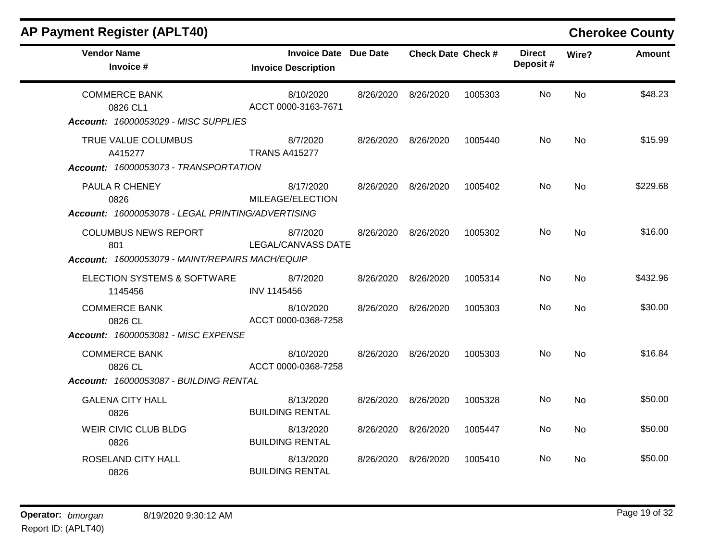| <b>AP Payment Register (APLT40)</b>                                                     |                                                     |           |                           |         |                           |           | <b>Cherokee County</b> |
|-----------------------------------------------------------------------------------------|-----------------------------------------------------|-----------|---------------------------|---------|---------------------------|-----------|------------------------|
| <b>Vendor Name</b><br>Invoice #                                                         | Invoice Date Due Date<br><b>Invoice Description</b> |           | <b>Check Date Check #</b> |         | <b>Direct</b><br>Deposit# | Wire?     | <b>Amount</b>          |
| <b>COMMERCE BANK</b><br>0826 CL1<br>Account: 16000053029 - MISC SUPPLIES                | 8/10/2020<br>ACCT 0000-3163-7671                    | 8/26/2020 | 8/26/2020                 | 1005303 | No.                       | <b>No</b> | \$48.23                |
| TRUE VALUE COLUMBUS<br>A415277<br>Account: 16000053073 - TRANSPORTATION                 | 8/7/2020<br><b>TRANS A415277</b>                    | 8/26/2020 | 8/26/2020                 | 1005440 | No                        | <b>No</b> | \$15.99                |
| PAULA R CHENEY<br>0826                                                                  | 8/17/2020<br>MILEAGE/ELECTION                       | 8/26/2020 | 8/26/2020                 | 1005402 | No                        | <b>No</b> | \$229.68               |
| Account: 16000053078 - LEGAL PRINTING/ADVERTISING<br><b>COLUMBUS NEWS REPORT</b><br>801 | 8/7/2020<br><b>LEGAL/CANVASS DATE</b>               | 8/26/2020 | 8/26/2020                 | 1005302 | No                        | <b>No</b> | \$16.00                |
| Account: 16000053079 - MAINT/REPAIRS MACH/EQUIP                                         |                                                     |           |                           |         |                           |           |                        |
| ELECTION SYSTEMS & SOFTWARE<br>1145456                                                  | 8/7/2020<br>INV 1145456                             | 8/26/2020 | 8/26/2020                 | 1005314 | No                        | No        | \$432.96               |
| <b>COMMERCE BANK</b><br>0826 CL                                                         | 8/10/2020<br>ACCT 0000-0368-7258                    | 8/26/2020 | 8/26/2020                 | 1005303 | No                        | <b>No</b> | \$30.00                |
| Account: 16000053081 - MISC EXPENSE                                                     |                                                     |           |                           |         |                           |           |                        |
| <b>COMMERCE BANK</b><br>0826 CL                                                         | 8/10/2020<br>ACCT 0000-0368-7258                    | 8/26/2020 | 8/26/2020                 | 1005303 | No                        | No        | \$16.84                |
| Account: 16000053087 - BUILDING RENTAL                                                  |                                                     |           |                           |         |                           |           |                        |
| <b>GALENA CITY HALL</b><br>0826                                                         | 8/13/2020<br><b>BUILDING RENTAL</b>                 | 8/26/2020 | 8/26/2020                 | 1005328 | No                        | <b>No</b> | \$50.00                |
| WEIR CIVIC CLUB BLDG<br>0826                                                            | 8/13/2020<br><b>BUILDING RENTAL</b>                 | 8/26/2020 | 8/26/2020                 | 1005447 | No                        | <b>No</b> | \$50.00                |
| ROSELAND CITY HALL<br>0826                                                              | 8/13/2020<br><b>BUILDING RENTAL</b>                 | 8/26/2020 | 8/26/2020                 | 1005410 | No                        | No        | \$50.00                |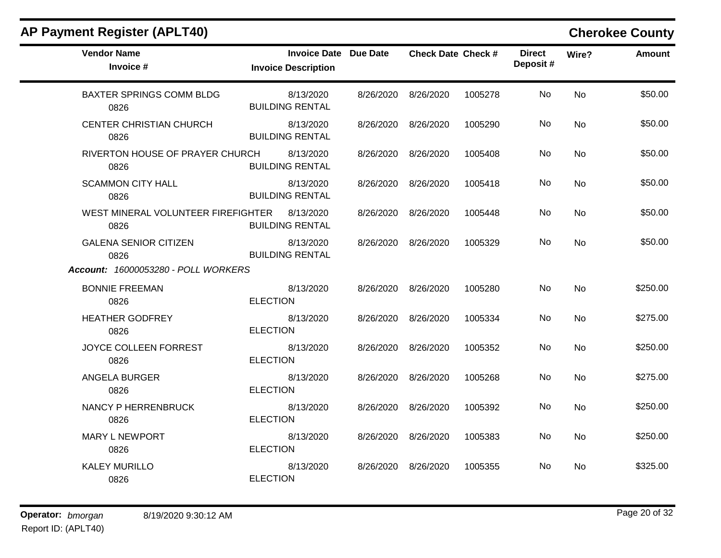|  |  |  | AP Payment Register (APLT40) |
|--|--|--|------------------------------|
|--|--|--|------------------------------|

 $\blacksquare$ 

# **Cherokee County**

| <b>Vendor Name</b><br>Invoice #                      | <b>Invoice Date Due Date</b><br><b>Invoice Description</b> |                     | <b>Check Date Check #</b> |         | <b>Direct</b><br>Deposit# | Wire?     | <b>Amount</b> |
|------------------------------------------------------|------------------------------------------------------------|---------------------|---------------------------|---------|---------------------------|-----------|---------------|
| <b>BAXTER SPRINGS COMM BLDG</b><br>0826              | 8/13/2020<br><b>BUILDING RENTAL</b>                        |                     | 8/26/2020 8/26/2020       | 1005278 | No                        | <b>No</b> | \$50.00       |
| <b>CENTER CHRISTIAN CHURCH</b><br>0826               | 8/13/2020<br><b>BUILDING RENTAL</b>                        |                     | 8/26/2020 8/26/2020       | 1005290 | No                        | No        | \$50.00       |
| RIVERTON HOUSE OF PRAYER CHURCH<br>0826              | 8/13/2020<br><b>BUILDING RENTAL</b>                        | 8/26/2020           | 8/26/2020                 | 1005408 | No                        | No        | \$50.00       |
| <b>SCAMMON CITY HALL</b><br>0826                     | 8/13/2020<br><b>BUILDING RENTAL</b>                        | 8/26/2020 8/26/2020 |                           | 1005418 | No                        | <b>No</b> | \$50.00       |
| WEST MINERAL VOLUNTEER FIREFIGHTER 8/13/2020<br>0826 | <b>BUILDING RENTAL</b>                                     | 8/26/2020 8/26/2020 |                           | 1005448 | No                        | No        | \$50.00       |
| <b>GALENA SENIOR CITIZEN</b><br>0826                 | 8/13/2020<br><b>BUILDING RENTAL</b>                        |                     | 8/26/2020 8/26/2020       | 1005329 | No.                       | <b>No</b> | \$50.00       |
| <b>Account: 16000053280 - POLL WORKERS</b>           |                                                            |                     |                           |         |                           |           |               |
| <b>BONNIE FREEMAN</b><br>0826                        | 8/13/2020<br><b>ELECTION</b>                               |                     | 8/26/2020 8/26/2020       | 1005280 | No                        | <b>No</b> | \$250.00      |
| <b>HEATHER GODFREY</b><br>0826                       | 8/13/2020<br><b>ELECTION</b>                               | 8/26/2020           | 8/26/2020                 | 1005334 | No                        | No        | \$275.00      |
| JOYCE COLLEEN FORREST<br>0826                        | 8/13/2020<br><b>ELECTION</b>                               |                     | 8/26/2020 8/26/2020       | 1005352 | No                        | <b>No</b> | \$250.00      |
| <b>ANGELA BURGER</b><br>0826                         | 8/13/2020<br><b>ELECTION</b>                               | 8/26/2020 8/26/2020 |                           | 1005268 | No                        | No        | \$275.00      |
| NANCY P HERRENBRUCK<br>0826                          | 8/13/2020<br><b>ELECTION</b>                               |                     | 8/26/2020 8/26/2020       | 1005392 | No                        | No        | \$250.00      |
| <b>MARY L NEWPORT</b><br>0826                        | 8/13/2020<br><b>ELECTION</b>                               | 8/26/2020           | 8/26/2020                 | 1005383 | No                        | No        | \$250.00      |
| <b>KALEY MURILLO</b><br>0826                         | 8/13/2020<br><b>ELECTION</b>                               | 8/26/2020           | 8/26/2020                 | 1005355 | No                        | No        | \$325.00      |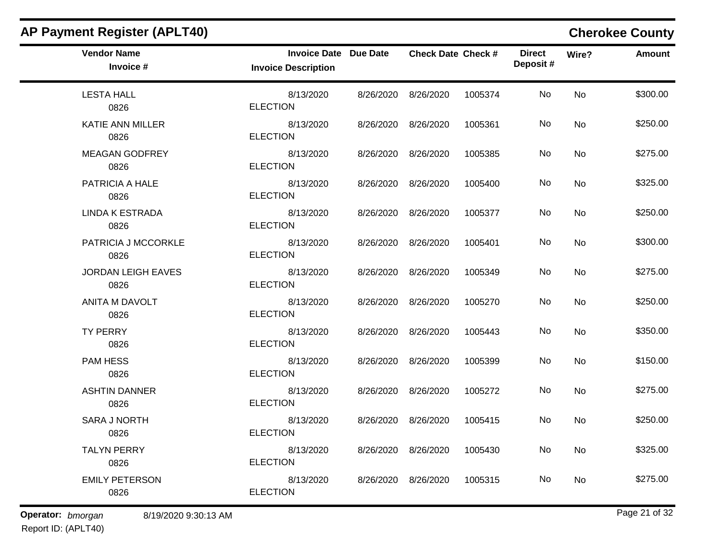| <b>AP Payment Register (APLT40)</b> |                                                            |           |                           |         |                           |       | <b>Cherokee County</b> |
|-------------------------------------|------------------------------------------------------------|-----------|---------------------------|---------|---------------------------|-------|------------------------|
| <b>Vendor Name</b><br>Invoice #     | <b>Invoice Date Due Date</b><br><b>Invoice Description</b> |           | <b>Check Date Check #</b> |         | <b>Direct</b><br>Deposit# | Wire? | <b>Amount</b>          |
| <b>LESTA HALL</b><br>0826           | 8/13/2020<br><b>ELECTION</b>                               | 8/26/2020 | 8/26/2020                 | 1005374 | No                        | No    | \$300.00               |
| <b>KATIE ANN MILLER</b><br>0826     | 8/13/2020<br><b>ELECTION</b>                               | 8/26/2020 | 8/26/2020                 | 1005361 | No                        | No    | \$250.00               |
| <b>MEAGAN GODFREY</b><br>0826       | 8/13/2020<br><b>ELECTION</b>                               | 8/26/2020 | 8/26/2020                 | 1005385 | No                        | No    | \$275.00               |
| PATRICIA A HALE<br>0826             | 8/13/2020<br><b>ELECTION</b>                               | 8/26/2020 | 8/26/2020                 | 1005400 | No                        | No    | \$325.00               |
| <b>LINDA K ESTRADA</b><br>0826      | 8/13/2020<br><b>ELECTION</b>                               | 8/26/2020 | 8/26/2020                 | 1005377 | No                        | No    | \$250.00               |
| PATRICIA J MCCORKLE<br>0826         | 8/13/2020<br><b>ELECTION</b>                               | 8/26/2020 | 8/26/2020                 | 1005401 | No                        | No    | \$300.00               |
| <b>JORDAN LEIGH EAVES</b><br>0826   | 8/13/2020<br><b>ELECTION</b>                               | 8/26/2020 | 8/26/2020                 | 1005349 | No                        | No    | \$275.00               |
| <b>ANITA M DAVOLT</b><br>0826       | 8/13/2020<br><b>ELECTION</b>                               | 8/26/2020 | 8/26/2020                 | 1005270 | No                        | No    | \$250.00               |
| <b>TY PERRY</b><br>0826             | 8/13/2020<br><b>ELECTION</b>                               | 8/26/2020 | 8/26/2020                 | 1005443 | No                        | No    | \$350.00               |
| <b>PAM HESS</b><br>0826             | 8/13/2020<br><b>ELECTION</b>                               | 8/26/2020 | 8/26/2020                 | 1005399 | No                        | No    | \$150.00               |
| <b>ASHTIN DANNER</b><br>0826        | 8/13/2020<br><b>ELECTION</b>                               | 8/26/2020 | 8/26/2020                 | 1005272 | No                        | No    | \$275.00               |
| <b>SARA J NORTH</b><br>0826         | 8/13/2020<br><b>ELECTION</b>                               | 8/26/2020 | 8/26/2020                 | 1005415 | No                        | No    | \$250.00               |
| <b>TALYN PERRY</b><br>0826          | 8/13/2020<br><b>ELECTION</b>                               |           | 8/26/2020 8/26/2020       | 1005430 | No                        | No    | \$325.00               |
| <b>EMILY PETERSON</b><br>0826       | 8/13/2020<br><b>ELECTION</b>                               |           | 8/26/2020 8/26/2020       | 1005315 | No                        | No    | \$275.00               |

**Operator:** bmorgan 8/19/2020 9:30:13 AM **b Page 21 of 32**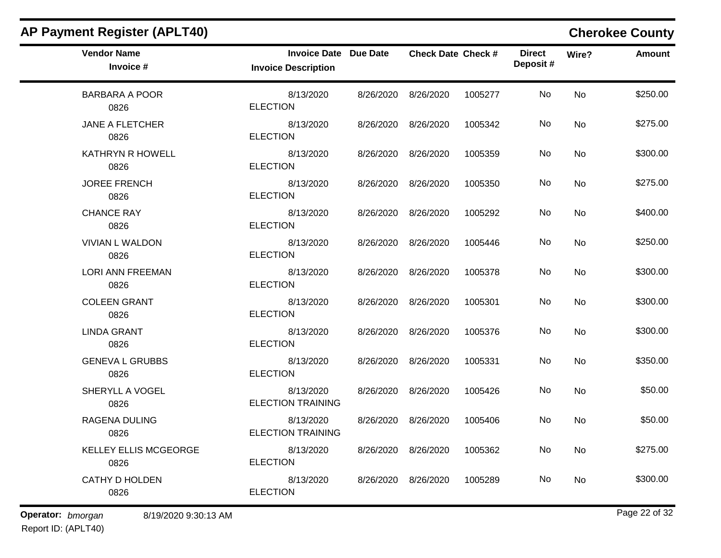| <b>Vendor Name</b><br>Invoice #           | <b>Invoice Date Due Date</b><br><b>Invoice Description</b> |           | <b>Check Date Check #</b> |         | <b>Direct</b><br>Deposit# | Wire? | <b>Amount</b> |
|-------------------------------------------|------------------------------------------------------------|-----------|---------------------------|---------|---------------------------|-------|---------------|
| <b>BARBARA A POOR</b><br>0826             | 8/13/2020<br><b>ELECTION</b>                               |           | 8/26/2020 8/26/2020       | 1005277 | No                        | No    | \$250.00      |
| JANE A FLETCHER<br>0826                   | 8/13/2020<br><b>ELECTION</b>                               |           | 8/26/2020 8/26/2020       | 1005342 | No                        | No    | \$275.00      |
| <b>KATHRYN R HOWELL</b><br>0826           | 8/13/2020<br><b>ELECTION</b>                               |           | 8/26/2020 8/26/2020       | 1005359 | No                        | No    | \$300.00      |
| <b>JOREE FRENCH</b><br>0826               | 8/13/2020<br><b>ELECTION</b>                               |           | 8/26/2020 8/26/2020       | 1005350 | No                        | No    | \$275.00      |
| <b>CHANCE RAY</b><br>0826                 | 8/13/2020<br><b>ELECTION</b>                               |           | 8/26/2020 8/26/2020       | 1005292 | No                        | No    | \$400.00      |
| <b>VIVIAN L WALDON</b><br>0826            | 8/13/2020<br><b>ELECTION</b>                               |           | 8/26/2020 8/26/2020       | 1005446 | No                        | No    | \$250.00      |
| <b>LORI ANN FREEMAN</b><br>0826           | 8/13/2020<br><b>ELECTION</b>                               |           | 8/26/2020 8/26/2020       | 1005378 | No                        | No    | \$300.00      |
| <b>COLEEN GRANT</b><br>0826               | 8/13/2020<br><b>ELECTION</b>                               |           | 8/26/2020 8/26/2020       | 1005301 | No                        | No    | \$300.00      |
| <b>LINDA GRANT</b><br>0826                | 8/13/2020<br><b>ELECTION</b>                               |           | 8/26/2020 8/26/2020       | 1005376 | No                        | No    | \$300.00      |
| <b>GENEVA L GRUBBS</b><br>0826            | 8/13/2020<br><b>ELECTION</b>                               |           | 8/26/2020 8/26/2020       | 1005331 | No                        | No    | \$350.00      |
| SHERYLL A VOGEL<br>0826                   | 8/13/2020<br><b>ELECTION TRAINING</b>                      |           | 8/26/2020 8/26/2020       | 1005426 | No                        | No    | \$50.00       |
| <b>RAGENA DULING</b><br>0826              | 8/13/2020<br><b>ELECTION TRAINING</b>                      |           | 8/26/2020 8/26/2020       | 1005406 | No                        | No    | \$50.00       |
| <b>KELLEY ELLIS MCGEORGE</b><br>0826      | 8/13/2020<br><b>ELECTION</b>                               |           | 8/26/2020 8/26/2020       | 1005362 | No                        | No    | \$275.00      |
| CATHY D HOLDEN<br>0826                    | 8/13/2020<br><b>ELECTION</b>                               | 8/26/2020 | 8/26/2020                 | 1005289 | No                        | No    | \$300.00      |
| Operator: bmorgan<br>8/19/2020 9:30:13 AM |                                                            |           |                           |         |                           |       | Page 22 of 32 |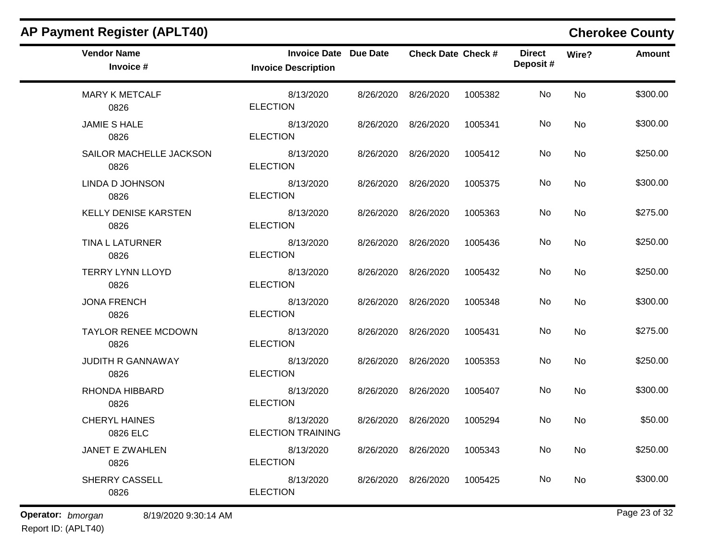| <b>AP Payment Register (APLT40)</b> |                                                            |           |                           |         |                           |           | <b>Cherokee County</b> |
|-------------------------------------|------------------------------------------------------------|-----------|---------------------------|---------|---------------------------|-----------|------------------------|
| <b>Vendor Name</b><br>Invoice #     | <b>Invoice Date Due Date</b><br><b>Invoice Description</b> |           | <b>Check Date Check #</b> |         | <b>Direct</b><br>Deposit# | Wire?     | <b>Amount</b>          |
| <b>MARY K METCALF</b><br>0826       | 8/13/2020<br><b>ELECTION</b>                               | 8/26/2020 | 8/26/2020                 | 1005382 | No                        | <b>No</b> | \$300.00               |
| <b>JAMIE S HALE</b><br>0826         | 8/13/2020<br><b>ELECTION</b>                               | 8/26/2020 | 8/26/2020                 | 1005341 | No                        | No        | \$300.00               |
| SAILOR MACHELLE JACKSON<br>0826     | 8/13/2020<br><b>ELECTION</b>                               | 8/26/2020 | 8/26/2020                 | 1005412 | No                        | No        | \$250.00               |
| LINDA D JOHNSON<br>0826             | 8/13/2020<br><b>ELECTION</b>                               | 8/26/2020 | 8/26/2020                 | 1005375 | No                        | No        | \$300.00               |
| <b>KELLY DENISE KARSTEN</b><br>0826 | 8/13/2020<br><b>ELECTION</b>                               | 8/26/2020 | 8/26/2020                 | 1005363 | No                        | No        | \$275.00               |
| TINA L LATURNER<br>0826             | 8/13/2020<br><b>ELECTION</b>                               |           | 8/26/2020 8/26/2020       | 1005436 | No                        | No        | \$250.00               |
| <b>TERRY LYNN LLOYD</b><br>0826     | 8/13/2020<br><b>ELECTION</b>                               | 8/26/2020 | 8/26/2020                 | 1005432 | No                        | No        | \$250.00               |
| <b>JONA FRENCH</b><br>0826          | 8/13/2020<br><b>ELECTION</b>                               | 8/26/2020 | 8/26/2020                 | 1005348 | No                        | No        | \$300.00               |
| <b>TAYLOR RENEE MCDOWN</b><br>0826  | 8/13/2020<br><b>ELECTION</b>                               | 8/26/2020 | 8/26/2020                 | 1005431 | No                        | No        | \$275.00               |
| <b>JUDITH R GANNAWAY</b><br>0826    | 8/13/2020<br><b>ELECTION</b>                               | 8/26/2020 | 8/26/2020                 | 1005353 | No                        | No        | \$250.00               |
| RHONDA HIBBARD<br>0826              | 8/13/2020<br><b>ELECTION</b>                               | 8/26/2020 | 8/26/2020                 | 1005407 | No                        | No        | \$300.00               |
| <b>CHERYL HAINES</b><br>0826 ELC    | 8/13/2020<br><b>ELECTION TRAINING</b>                      | 8/26/2020 | 8/26/2020                 | 1005294 | No                        | No        | \$50.00                |
| <b>JANET E ZWAHLEN</b><br>0826      | 8/13/2020<br><b>ELECTION</b>                               |           | 8/26/2020 8/26/2020       | 1005343 | No                        | No        | \$250.00               |
| SHERRY CASSELL<br>0826              | 8/13/2020<br><b>ELECTION</b>                               |           | 8/26/2020 8/26/2020       | 1005425 | No                        | No        | \$300.00               |

# Report ID: (APLT40)

**Operator:** bmorgan 8/19/2020 9:30:14 AM **bigger 30 and 32 bigger 32 cm 32 bigger 33 of 32**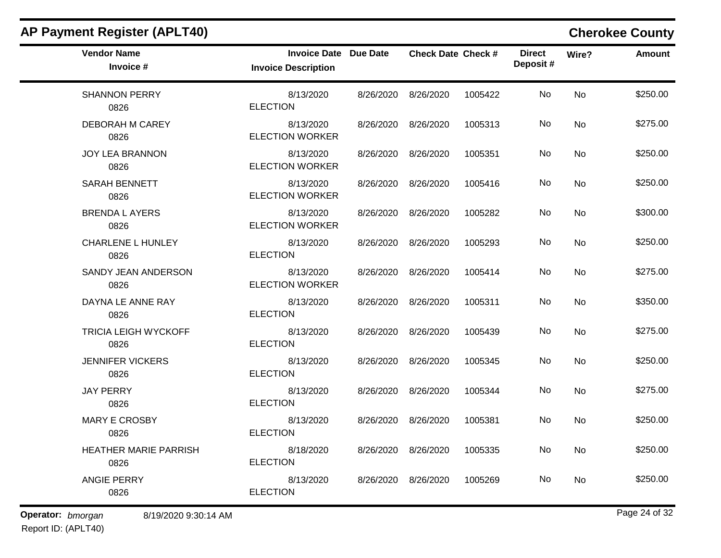| <b>AP Payment Register (APLT40)</b>  |                                                            |           |                           |         |                           |       | <b>Cherokee County</b> |
|--------------------------------------|------------------------------------------------------------|-----------|---------------------------|---------|---------------------------|-------|------------------------|
| <b>Vendor Name</b><br>Invoice #      | <b>Invoice Date Due Date</b><br><b>Invoice Description</b> |           | <b>Check Date Check #</b> |         | <b>Direct</b><br>Deposit# | Wire? | <b>Amount</b>          |
| <b>SHANNON PERRY</b><br>0826         | 8/13/2020<br><b>ELECTION</b>                               | 8/26/2020 | 8/26/2020                 | 1005422 | No                        | No    | \$250.00               |
| <b>DEBORAH M CAREY</b><br>0826       | 8/13/2020<br><b>ELECTION WORKER</b>                        | 8/26/2020 | 8/26/2020                 | 1005313 | No                        | No    | \$275.00               |
| JOY LEA BRANNON<br>0826              | 8/13/2020<br><b>ELECTION WORKER</b>                        | 8/26/2020 | 8/26/2020                 | 1005351 | No                        | No    | \$250.00               |
| <b>SARAH BENNETT</b><br>0826         | 8/13/2020<br><b>ELECTION WORKER</b>                        | 8/26/2020 | 8/26/2020                 | 1005416 | No                        | No    | \$250.00               |
| <b>BRENDA L AYERS</b><br>0826        | 8/13/2020<br><b>ELECTION WORKER</b>                        | 8/26/2020 | 8/26/2020                 | 1005282 | No                        | No    | \$300.00               |
| <b>CHARLENE L HUNLEY</b><br>0826     | 8/13/2020<br><b>ELECTION</b>                               | 8/26/2020 | 8/26/2020                 | 1005293 | No                        | No    | \$250.00               |
| SANDY JEAN ANDERSON<br>0826          | 8/13/2020<br><b>ELECTION WORKER</b>                        | 8/26/2020 | 8/26/2020                 | 1005414 | No                        | No    | \$275.00               |
| DAYNA LE ANNE RAY<br>0826            | 8/13/2020<br><b>ELECTION</b>                               | 8/26/2020 | 8/26/2020                 | 1005311 | No                        | No    | \$350.00               |
| <b>TRICIA LEIGH WYCKOFF</b><br>0826  | 8/13/2020<br><b>ELECTION</b>                               | 8/26/2020 | 8/26/2020                 | 1005439 | No                        | No    | \$275.00               |
| <b>JENNIFER VICKERS</b><br>0826      | 8/13/2020<br><b>ELECTION</b>                               | 8/26/2020 | 8/26/2020                 | 1005345 | No                        | No    | \$250.00               |
| <b>JAY PERRY</b><br>0826             | 8/13/2020<br><b>ELECTION</b>                               | 8/26/2020 | 8/26/2020                 | 1005344 | No                        | No    | \$275.00               |
| <b>MARY E CROSBY</b><br>0826         | 8/13/2020<br><b>ELECTION</b>                               | 8/26/2020 | 8/26/2020                 | 1005381 | No                        | No    | \$250.00               |
| <b>HEATHER MARIE PARRISH</b><br>0826 | 8/18/2020<br><b>ELECTION</b>                               |           | 8/26/2020 8/26/2020       | 1005335 | No                        | No    | \$250.00               |
| <b>ANGIE PERRY</b><br>0826           | 8/13/2020<br><b>ELECTION</b>                               |           | 8/26/2020 8/26/2020       | 1005269 | No                        | No    | \$250.00               |

**Operator:** bmorgan 8/19/2020 9:30:14 AM **bigger 30 and 32 bigger 32 bigger 32 bigger 32 bigger 32 bigger 32 bigger 32 bigger 32 bigger 32 bigger 32 bigger 32 bigger 32 bigger 32 bigger 32 bigge**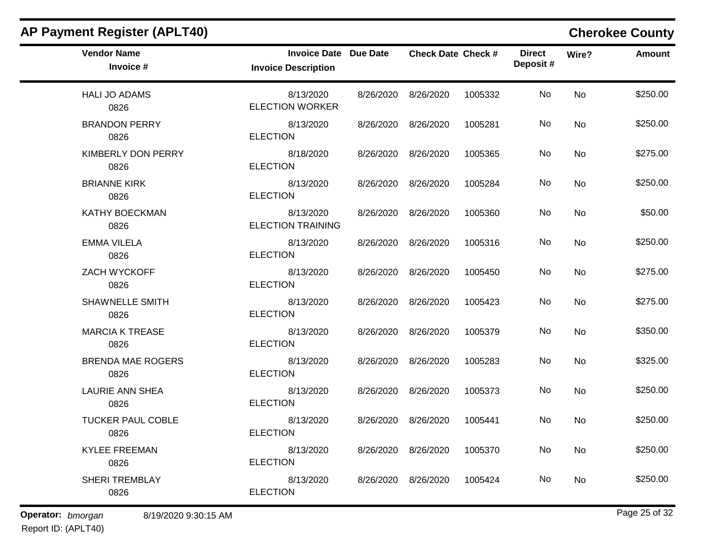| <b>Vendor Name</b><br>Invoice #  | <b>Invoice Date Due Date</b><br><b>Invoice Description</b> |                     | <b>Check Date Check #</b> |         | <b>Direct</b><br>Deposit# | Wire?     | <b>Amount</b> |
|----------------------------------|------------------------------------------------------------|---------------------|---------------------------|---------|---------------------------|-----------|---------------|
| <b>HALI JO ADAMS</b><br>0826     | 8/13/2020<br><b>ELECTION WORKER</b>                        | 8/26/2020 8/26/2020 |                           | 1005332 | No                        | <b>No</b> | \$250.00      |
| <b>BRANDON PERRY</b><br>0826     | 8/13/2020<br><b>ELECTION</b>                               | 8/26/2020 8/26/2020 |                           | 1005281 | No.                       | No        | \$250.00      |
| KIMBERLY DON PERRY<br>0826       | 8/18/2020<br><b>ELECTION</b>                               | 8/26/2020 8/26/2020 |                           | 1005365 | No.                       | <b>No</b> | \$275.00      |
| <b>BRIANNE KIRK</b><br>0826      | 8/13/2020<br><b>ELECTION</b>                               | 8/26/2020 8/26/2020 |                           | 1005284 | No                        | <b>No</b> | \$250.00      |
| KATHY BOECKMAN<br>0826           | 8/13/2020<br><b>ELECTION TRAINING</b>                      | 8/26/2020 8/26/2020 |                           | 1005360 | No.                       | No        | \$50.00       |
| <b>EMMA VILELA</b><br>0826       | 8/13/2020<br><b>ELECTION</b>                               | 8/26/2020 8/26/2020 |                           | 1005316 | No                        | <b>No</b> | \$250.00      |
| ZACH WYCKOFF<br>0826             | 8/13/2020<br><b>ELECTION</b>                               | 8/26/2020 8/26/2020 |                           | 1005450 | No.                       | <b>No</b> | \$275.00      |
| <b>SHAWNELLE SMITH</b><br>0826   | 8/13/2020<br><b>ELECTION</b>                               | 8/26/2020 8/26/2020 |                           | 1005423 | No.                       | <b>No</b> | \$275.00      |
| <b>MARCIA K TREASE</b><br>0826   | 8/13/2020<br><b>ELECTION</b>                               | 8/26/2020 8/26/2020 |                           | 1005379 | No                        | No        | \$350.00      |
| <b>BRENDA MAE ROGERS</b><br>0826 | 8/13/2020<br><b>ELECTION</b>                               | 8/26/2020 8/26/2020 |                           | 1005283 | No.                       | No        | \$325.00      |
| <b>LAURIE ANN SHEA</b><br>0826   | 8/13/2020<br><b>ELECTION</b>                               | 8/26/2020 8/26/2020 |                           | 1005373 | No                        | <b>No</b> | \$250.00      |
| <b>TUCKER PAUL COBLE</b><br>0826 | 8/13/2020<br><b>ELECTION</b>                               | 8/26/2020 8/26/2020 |                           | 1005441 | No.                       | <b>No</b> | \$250.00      |
| <b>KYLEE FREEMAN</b><br>0826     | 8/13/2020<br><b>ELECTION</b>                               | 8/26/2020 8/26/2020 |                           | 1005370 | No.                       | No        | \$250.00      |
| SHERI TREMBLAY<br>0826           | 8/13/2020<br><b>ELECTION</b>                               | 8/26/2020 8/26/2020 |                           | 1005424 | No.                       | No        | \$250.00      |

## **AP Payment Register (APLT40) Cherokee County**  $\blacksquare$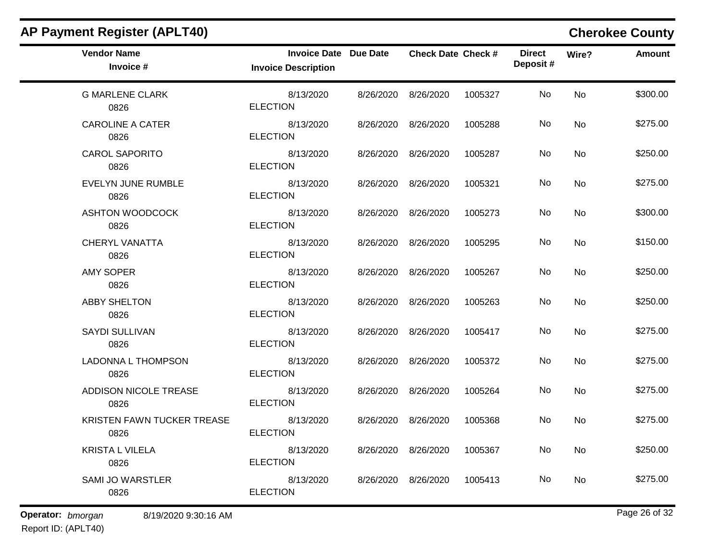| <b>Vendor Name</b><br>Invoice #           | <b>Invoice Date Due Date</b><br><b>Invoice Description</b> |           | <b>Check Date Check #</b> |         | <b>Direct</b><br>Deposit# | Wire? | <b>Amount</b> |
|-------------------------------------------|------------------------------------------------------------|-----------|---------------------------|---------|---------------------------|-------|---------------|
| <b>G MARLENE CLARK</b><br>0826            | 8/13/2020<br><b>ELECTION</b>                               |           | 8/26/2020 8/26/2020       | 1005327 | No                        | No    | \$300.00      |
| <b>CAROLINE A CATER</b><br>0826           | 8/13/2020<br><b>ELECTION</b>                               |           | 8/26/2020 8/26/2020       | 1005288 | No                        | No    | \$275.00      |
| <b>CAROL SAPORITO</b><br>0826             | 8/13/2020<br><b>ELECTION</b>                               |           | 8/26/2020 8/26/2020       | 1005287 | No                        | No    | \$250.00      |
| <b>EVELYN JUNE RUMBLE</b><br>0826         | 8/13/2020<br><b>ELECTION</b>                               |           | 8/26/2020 8/26/2020       | 1005321 | No                        | No    | \$275.00      |
| ASHTON WOODCOCK<br>0826                   | 8/13/2020<br><b>ELECTION</b>                               |           | 8/26/2020 8/26/2020       | 1005273 | No                        | No    | \$300.00      |
| <b>CHERYL VANATTA</b><br>0826             | 8/13/2020<br><b>ELECTION</b>                               |           | 8/26/2020 8/26/2020       | 1005295 | No                        | No    | \$150.00      |
| <b>AMY SOPER</b><br>0826                  | 8/13/2020<br><b>ELECTION</b>                               |           | 8/26/2020 8/26/2020       | 1005267 | No                        | No    | \$250.00      |
| <b>ABBY SHELTON</b><br>0826               | 8/13/2020<br><b>ELECTION</b>                               |           | 8/26/2020 8/26/2020       | 1005263 | No                        | No    | \$250.00      |
| <b>SAYDI SULLIVAN</b><br>0826             | 8/13/2020<br><b>ELECTION</b>                               |           | 8/26/2020 8/26/2020       | 1005417 | No                        | No    | \$275.00      |
| LADONNA L THOMPSON<br>0826                | 8/13/2020<br><b>ELECTION</b>                               |           | 8/26/2020 8/26/2020       | 1005372 | No                        | No    | \$275.00      |
| ADDISON NICOLE TREASE<br>0826             | 8/13/2020<br><b>ELECTION</b>                               |           | 8/26/2020 8/26/2020       | 1005264 | No                        | No    | \$275.00      |
| KRISTEN FAWN TUCKER TREASE<br>0826        | 8/13/2020<br><b>ELECTION</b>                               |           | 8/26/2020 8/26/2020       | 1005368 | No                        | No    | \$275.00      |
| <b>KRISTA L VILELA</b><br>0826            | 8/13/2020<br><b>ELECTION</b>                               |           | 8/26/2020 8/26/2020       | 1005367 | No                        | No    | \$250.00      |
| <b>SAMI JO WARSTLER</b><br>0826           | 8/13/2020<br><b>ELECTION</b>                               | 8/26/2020 | 8/26/2020                 | 1005413 | No                        | No    | \$275.00      |
| Operator: bmorgan<br>8/19/2020 9:30:16 AM |                                                            |           |                           |         |                           |       | Page 26 of 32 |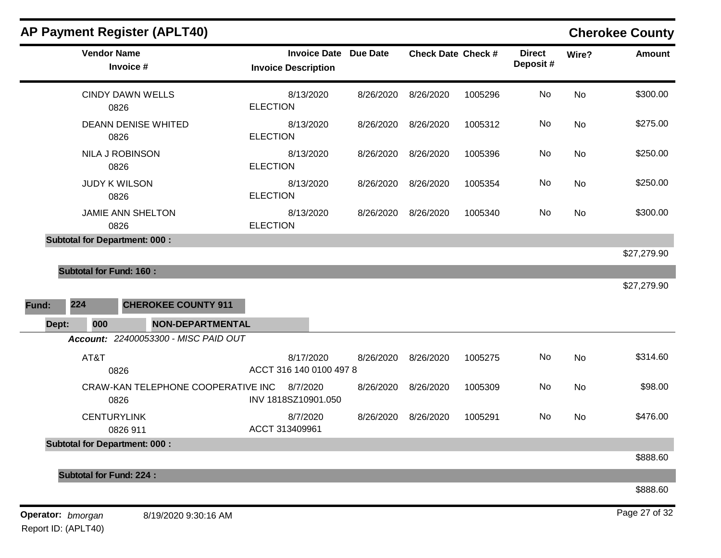|              | <b>Vendor Name</b><br>Invoice #            | <b>Invoice Description</b>           | <b>Invoice Date Due Date</b> | <b>Check Date Check #</b> |         | <b>Direct</b><br>Deposit# | Wire?     | <b>Amount</b> |
|--------------|--------------------------------------------|--------------------------------------|------------------------------|---------------------------|---------|---------------------------|-----------|---------------|
|              | <b>CINDY DAWN WELLS</b><br>0826            | 8/13/2020<br><b>ELECTION</b>         | 8/26/2020                    | 8/26/2020                 | 1005296 | No                        | <b>No</b> | \$300.00      |
|              | <b>DEANN DENISE WHITED</b><br>0826         | 8/13/2020<br><b>ELECTION</b>         | 8/26/2020                    | 8/26/2020                 | 1005312 | No                        | No        | \$275.00      |
|              | NILA J ROBINSON<br>0826                    | 8/13/2020<br><b>ELECTION</b>         | 8/26/2020                    | 8/26/2020                 | 1005396 | No                        | No        | \$250.00      |
|              | <b>JUDY K WILSON</b><br>0826               | 8/13/2020<br><b>ELECTION</b>         | 8/26/2020                    | 8/26/2020                 | 1005354 | No                        | <b>No</b> | \$250.00      |
|              | <b>JAMIE ANN SHELTON</b><br>0826           | 8/13/2020<br><b>ELECTION</b>         |                              | 8/26/2020 8/26/2020       | 1005340 | No                        | <b>No</b> | \$300.00      |
|              | <b>Subtotal for Department: 000:</b>       |                                      |                              |                           |         |                           |           |               |
|              | <b>Subtotal for Fund: 160:</b>             |                                      |                              |                           |         |                           |           | \$27,279.90   |
|              |                                            |                                      |                              |                           |         |                           |           | \$27,279.90   |
| 224<br>Fund: | <b>CHEROKEE COUNTY 911</b>                 |                                      |                              |                           |         |                           |           |               |
| Dept:        | <b>NON-DEPARTMENTAL</b><br>000             |                                      |                              |                           |         |                           |           |               |
|              | Account: 22400053300 - MISC PAID OUT       |                                      |                              |                           |         |                           |           |               |
|              | AT&T<br>0826                               | 8/17/2020<br>ACCT 316 140 0100 497 8 | 8/26/2020                    | 8/26/2020                 | 1005275 | No                        | No        | \$314.60      |
|              | CRAW-KAN TELEPHONE COOPERATIVE INC<br>0826 | 8/7/2020<br>INV 1818SZ10901.050      |                              | 8/26/2020 8/26/2020       | 1005309 | No                        | <b>No</b> | \$98.00       |
|              | <b>CENTURYLINK</b><br>0826 911             | 8/7/2020<br>ACCT 313409961           | 8/26/2020                    | 8/26/2020                 | 1005291 | No                        | <b>No</b> | \$476.00      |
|              | <b>Subtotal for Department: 000:</b>       |                                      |                              |                           |         |                           |           |               |
|              |                                            |                                      |                              |                           |         |                           |           | \$888.60      |
|              | <b>Subtotal for Fund: 224:</b>             |                                      |                              |                           |         |                           |           | \$888.60      |
|              |                                            |                                      |                              |                           |         |                           |           |               |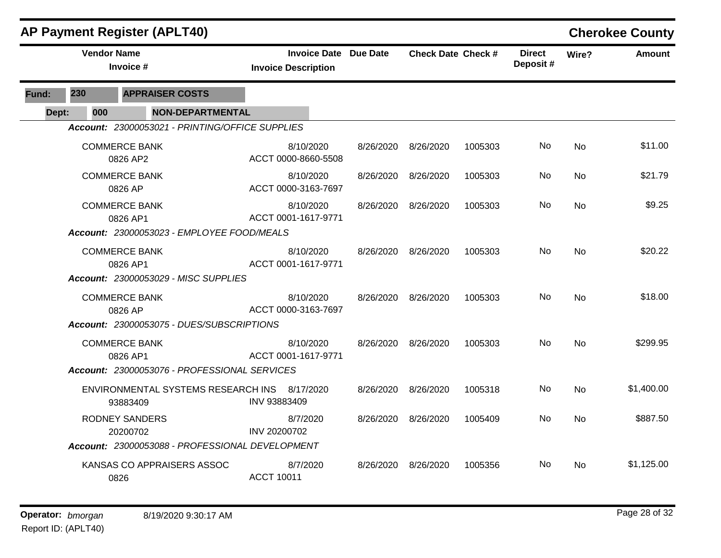|       |                    | <b>AP Payment Register (APLT40)</b>             |                                                            |           |                           |         |                           |           | <b>Cherokee County</b> |
|-------|--------------------|-------------------------------------------------|------------------------------------------------------------|-----------|---------------------------|---------|---------------------------|-----------|------------------------|
|       | <b>Vendor Name</b> | Invoice #                                       | <b>Invoice Date Due Date</b><br><b>Invoice Description</b> |           | <b>Check Date Check #</b> |         | <b>Direct</b><br>Deposit# | Wire?     | <b>Amount</b>          |
| Fund: | 230                | <b>APPRAISER COSTS</b>                          |                                                            |           |                           |         |                           |           |                        |
| Dept: | 000                | <b>NON-DEPARTMENTAL</b>                         |                                                            |           |                           |         |                           |           |                        |
|       |                    | Account: 23000053021 - PRINTING/OFFICE SUPPLIES |                                                            |           |                           |         |                           |           |                        |
|       |                    | <b>COMMERCE BANK</b><br>0826 AP2                | 8/10/2020<br>ACCT 0000-8660-5508                           | 8/26/2020 | 8/26/2020                 | 1005303 | No.                       | <b>No</b> | \$11.00                |
|       |                    | <b>COMMERCE BANK</b><br>0826 AP                 | 8/10/2020<br>ACCT 0000-3163-7697                           | 8/26/2020 | 8/26/2020                 | 1005303 | No.                       | No        | \$21.79                |
|       |                    | <b>COMMERCE BANK</b><br>0826 AP1                | 8/10/2020<br>ACCT 0001-1617-9771                           | 8/26/2020 | 8/26/2020                 | 1005303 | No                        | <b>No</b> | \$9.25                 |
|       |                    | Account: 23000053023 - EMPLOYEE FOOD/MEALS      |                                                            |           |                           |         |                           |           |                        |
|       |                    | <b>COMMERCE BANK</b><br>0826 AP1                | 8/10/2020<br>ACCT 0001-1617-9771                           | 8/26/2020 | 8/26/2020                 | 1005303 | No                        | No        | \$20.22                |
|       |                    | Account: 23000053029 - MISC SUPPLIES            |                                                            |           |                           |         |                           |           |                        |
|       |                    | <b>COMMERCE BANK</b><br>0826 AP                 | 8/10/2020<br>ACCT 0000-3163-7697                           | 8/26/2020 | 8/26/2020                 | 1005303 | No                        | <b>No</b> | \$18.00                |
|       |                    | Account: 23000053075 - DUES/SUBSCRIPTIONS       |                                                            |           |                           |         |                           |           |                        |
|       |                    | <b>COMMERCE BANK</b><br>0826 AP1                | 8/10/2020<br>ACCT 0001-1617-9771                           | 8/26/2020 | 8/26/2020                 | 1005303 | No.                       | <b>No</b> | \$299.95               |
|       |                    | Account: 23000053076 - PROFESSIONAL SERVICES    |                                                            |           |                           |         |                           |           |                        |
|       |                    | ENVIRONMENTAL SYSTEMS RESEARCH INS<br>93883409  | 8/17/2020<br>INV 93883409                                  | 8/26/2020 | 8/26/2020                 | 1005318 | No                        | <b>No</b> | \$1,400.00             |
|       |                    | <b>RODNEY SANDERS</b><br>20200702               | 8/7/2020<br>INV 20200702                                   | 8/26/2020 | 8/26/2020                 | 1005409 | No.                       | <b>No</b> | \$887.50               |
|       |                    | Account: 23000053088 - PROFESSIONAL DEVELOPMENT |                                                            |           |                           |         |                           |           |                        |
|       |                    | KANSAS CO APPRAISERS ASSOC<br>0826              | 8/7/2020<br><b>ACCT 10011</b>                              | 8/26/2020 | 8/26/2020                 | 1005356 | No.                       | No        | \$1,125.00             |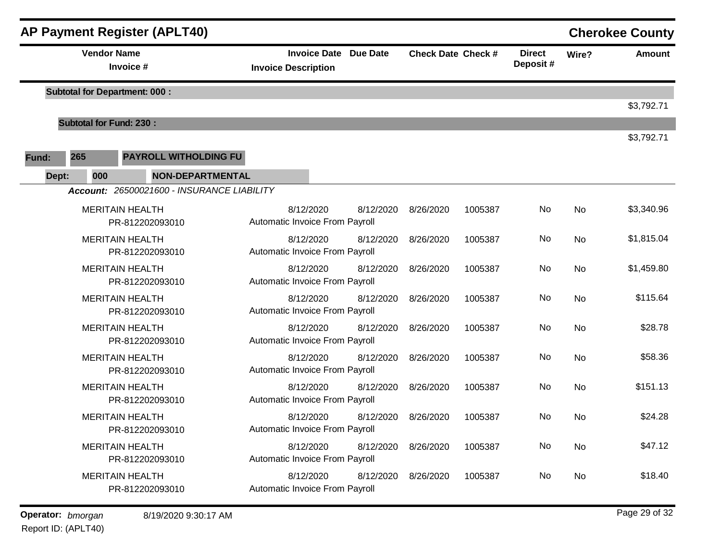|       |                                 | <b>AP Payment Register (APLT40)</b>        |                                             |                              |                           |         |                           |       | <b>Cherokee County</b> |
|-------|---------------------------------|--------------------------------------------|---------------------------------------------|------------------------------|---------------------------|---------|---------------------------|-------|------------------------|
|       | <b>Vendor Name</b><br>Invoice # |                                            | <b>Invoice Description</b>                  | <b>Invoice Date Due Date</b> | <b>Check Date Check #</b> |         | <b>Direct</b><br>Deposit# | Wire? | <b>Amount</b>          |
|       |                                 | <b>Subtotal for Department: 000:</b>       |                                             |                              |                           |         |                           |       | \$3,792.71             |
|       | <b>Subtotal for Fund: 230:</b>  |                                            |                                             |                              |                           |         |                           |       |                        |
| Fund: | 265                             | <b>PAYROLL WITHOLDING FU</b>               |                                             |                              |                           |         |                           |       | \$3,792.71             |
| Dept: | 000                             | <b>NON-DEPARTMENTAL</b>                    |                                             |                              |                           |         |                           |       |                        |
|       |                                 | Account: 26500021600 - INSURANCE LIABILITY |                                             |                              |                           |         |                           |       |                        |
|       |                                 | <b>MERITAIN HEALTH</b><br>PR-812202093010  | 8/12/2020<br>Automatic Invoice From Payroll | 8/12/2020                    | 8/26/2020                 | 1005387 | No                        | No    | \$3,340.96             |
|       |                                 | <b>MERITAIN HEALTH</b><br>PR-812202093010  | 8/12/2020<br>Automatic Invoice From Payroll | 8/12/2020                    | 8/26/2020                 | 1005387 | No                        | No    | \$1,815.04             |
|       |                                 | <b>MERITAIN HEALTH</b><br>PR-812202093010  | 8/12/2020<br>Automatic Invoice From Payroll | 8/12/2020                    | 8/26/2020                 | 1005387 | No                        | No    | \$1,459.80             |
|       |                                 | <b>MERITAIN HEALTH</b><br>PR-812202093010  | 8/12/2020<br>Automatic Invoice From Payroll | 8/12/2020                    | 8/26/2020                 | 1005387 | No                        | No    | \$115.64               |
|       |                                 | <b>MERITAIN HEALTH</b><br>PR-812202093010  | 8/12/2020<br>Automatic Invoice From Payroll | 8/12/2020                    | 8/26/2020                 | 1005387 | No                        | No    | \$28.78                |
|       |                                 | <b>MERITAIN HEALTH</b><br>PR-812202093010  | 8/12/2020<br>Automatic Invoice From Payroll | 8/12/2020                    | 8/26/2020                 | 1005387 | No                        | No    | \$58.36                |
|       |                                 | <b>MERITAIN HEALTH</b><br>PR-812202093010  | 8/12/2020<br>Automatic Invoice From Payroll | 8/12/2020                    | 8/26/2020                 | 1005387 | No                        | No    | \$151.13               |
|       |                                 | <b>MERITAIN HEALTH</b><br>PR-812202093010  | 8/12/2020<br>Automatic Invoice From Payroll | 8/12/2020                    | 8/26/2020                 | 1005387 | No                        | No    | \$24.28                |
|       |                                 | <b>MERITAIN HEALTH</b><br>PR-812202093010  | 8/12/2020<br>Automatic Invoice From Payroll | 8/12/2020                    | 8/26/2020                 | 1005387 | No                        | No    | \$47.12                |
|       |                                 | <b>MERITAIN HEALTH</b><br>PR-812202093010  | 8/12/2020<br>Automatic Invoice From Payroll | 8/12/2020                    | 8/26/2020                 | 1005387 | No                        | No    | \$18.40                |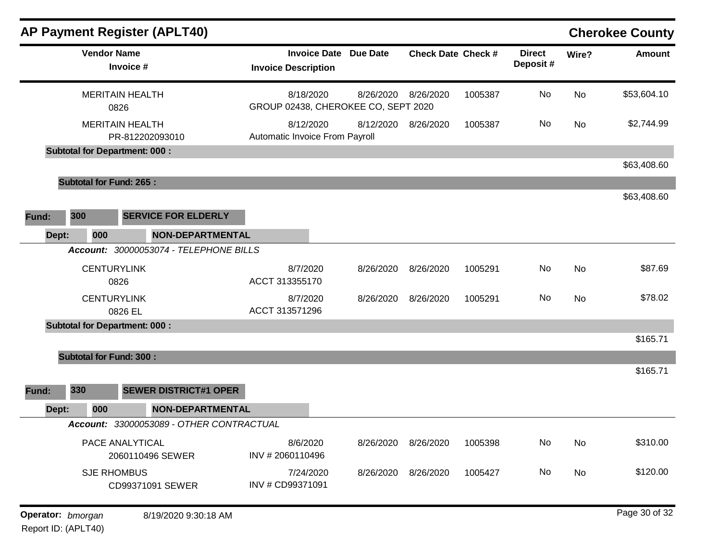|       |                                      | <b>AP Payment Register (APLT40)</b>      |                                |                              |                                                  |                           |         |                           |       | <b>Cherokee County</b> |
|-------|--------------------------------------|------------------------------------------|--------------------------------|------------------------------|--------------------------------------------------|---------------------------|---------|---------------------------|-------|------------------------|
|       | <b>Vendor Name</b><br>Invoice #      |                                          | <b>Invoice Description</b>     | <b>Invoice Date Due Date</b> |                                                  | <b>Check Date Check #</b> |         | <b>Direct</b><br>Deposit# | Wire? | <b>Amount</b>          |
|       | <b>MERITAIN HEALTH</b><br>0826       |                                          |                                | 8/18/2020                    | 8/26/2020<br>GROUP 02438, CHEROKEE CO, SEPT 2020 | 8/26/2020                 | 1005387 | No                        | No    | \$53,604.10            |
|       | <b>MERITAIN HEALTH</b>               | PR-812202093010                          | Automatic Invoice From Payroll | 8/12/2020                    | 8/12/2020                                        | 8/26/2020                 | 1005387 | No                        | No    | \$2,744.99             |
|       | <b>Subtotal for Department: 000:</b> |                                          |                                |                              |                                                  |                           |         |                           |       |                        |
|       |                                      |                                          |                                |                              |                                                  |                           |         |                           |       | \$63,408.60            |
|       | <b>Subtotal for Fund: 265:</b>       |                                          |                                |                              |                                                  |                           |         |                           |       |                        |
|       |                                      |                                          |                                |                              |                                                  |                           |         |                           |       | \$63,408.60            |
| Fund: | 300                                  | <b>SERVICE FOR ELDERLY</b>               |                                |                              |                                                  |                           |         |                           |       |                        |
| Dept: | 000                                  | <b>NON-DEPARTMENTAL</b>                  |                                |                              |                                                  |                           |         |                           |       |                        |
|       |                                      | Account: 30000053074 - TELEPHONE BILLS   |                                |                              |                                                  |                           |         |                           |       |                        |
|       | <b>CENTURYLINK</b>                   |                                          |                                | 8/7/2020                     | 8/26/2020                                        | 8/26/2020                 | 1005291 | No                        | No    | \$87.69                |
|       | 0826                                 |                                          | ACCT 313355170                 |                              |                                                  |                           |         |                           |       |                        |
|       | <b>CENTURYLINK</b>                   |                                          |                                | 8/7/2020                     | 8/26/2020                                        | 8/26/2020                 | 1005291 | No                        | No    | \$78.02                |
|       | 0826 EL                              |                                          | ACCT 313571296                 |                              |                                                  |                           |         |                           |       |                        |
|       | <b>Subtotal for Department: 000:</b> |                                          |                                |                              |                                                  |                           |         |                           |       |                        |
|       |                                      |                                          |                                |                              |                                                  |                           |         |                           |       | \$165.71               |
|       | <b>Subtotal for Fund: 300:</b>       |                                          |                                |                              |                                                  |                           |         |                           |       |                        |
|       |                                      |                                          |                                |                              |                                                  |                           |         |                           |       | \$165.71               |
| Fund: | 330                                  | <b>SEWER DISTRICT#1 OPER</b>             |                                |                              |                                                  |                           |         |                           |       |                        |
| Dept: | 000                                  | <b>NON-DEPARTMENTAL</b>                  |                                |                              |                                                  |                           |         |                           |       |                        |
|       |                                      | Account: 33000053089 - OTHER CONTRACTUAL |                                |                              |                                                  |                           |         |                           |       |                        |
|       | PACE ANALYTICAL                      |                                          |                                | 8/6/2020                     | 8/26/2020                                        | 8/26/2020                 | 1005398 | No                        | No    | \$310.00               |
|       |                                      | 2060110496 SEWER                         | INV #2060110496                |                              |                                                  |                           |         |                           |       |                        |
|       | <b>SJE RHOMBUS</b>                   |                                          |                                | 7/24/2020                    | 8/26/2020                                        | 8/26/2020                 | 1005427 | No                        | No    | \$120.00               |
|       |                                      | CD99371091 SEWER                         | INV # CD99371091               |                              |                                                  |                           |         |                           |       |                        |
|       |                                      |                                          |                                |                              |                                                  |                           |         |                           |       |                        |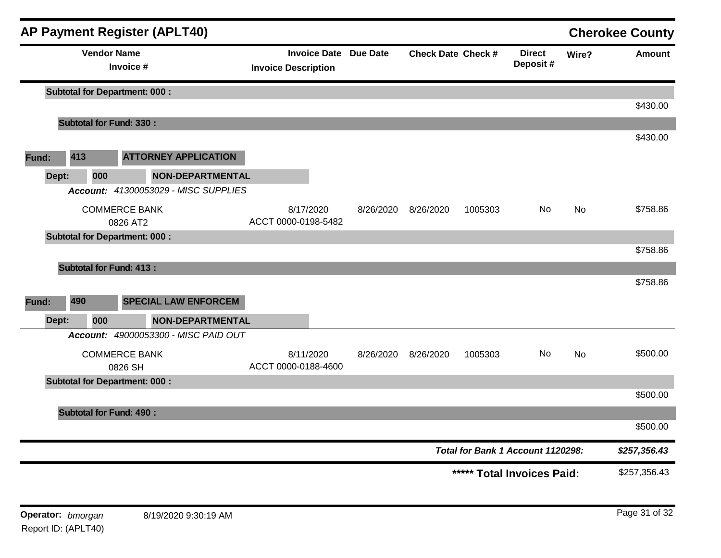|       |     |                    | AP Payment Register (APLT40)         |                                  |                              |           |                           |                                   |           | <b>Cherokee County</b> |
|-------|-----|--------------------|--------------------------------------|----------------------------------|------------------------------|-----------|---------------------------|-----------------------------------|-----------|------------------------|
|       |     | <b>Vendor Name</b> | Invoice #                            | <b>Invoice Description</b>       | <b>Invoice Date Due Date</b> |           | <b>Check Date Check #</b> | <b>Direct</b><br>Deposit#         | Wire?     | <b>Amount</b>          |
|       |     |                    | <b>Subtotal for Department: 000:</b> |                                  |                              |           |                           |                                   |           |                        |
|       |     |                    | <b>Subtotal for Fund: 330:</b>       |                                  |                              |           |                           |                                   |           | \$430.00               |
|       |     |                    |                                      |                                  |                              |           |                           |                                   |           | \$430.00               |
| Fund: | 413 |                    | <b>ATTORNEY APPLICATION</b>          |                                  |                              |           |                           |                                   |           |                        |
| Dept: |     | 000                | <b>NON-DEPARTMENTAL</b>              |                                  |                              |           |                           |                                   |           |                        |
|       |     |                    | Account: 41300053029 - MISC SUPPLIES |                                  |                              |           |                           |                                   |           |                        |
|       |     |                    | <b>COMMERCE BANK</b><br>0826 AT2     | 8/17/2020<br>ACCT 0000-0198-5482 | 8/26/2020                    | 8/26/2020 | 1005303                   | No                                | No        | \$758.86               |
|       |     |                    | <b>Subtotal for Department: 000:</b> |                                  |                              |           |                           |                                   |           | \$758.86               |
|       |     |                    | <b>Subtotal for Fund: 413:</b>       |                                  |                              |           |                           |                                   |           |                        |
|       |     |                    |                                      |                                  |                              |           |                           |                                   |           | \$758.86               |
| Fund: | 490 |                    | <b>SPECIAL LAW ENFORCEM</b>          |                                  |                              |           |                           |                                   |           |                        |
| Dept: |     | 000                | <b>NON-DEPARTMENTAL</b>              |                                  |                              |           |                           |                                   |           |                        |
|       |     |                    | Account: 49000053300 - MISC PAID OUT |                                  |                              |           |                           |                                   |           |                        |
|       |     |                    | <b>COMMERCE BANK</b><br>0826 SH      | 8/11/2020<br>ACCT 0000-0188-4600 | 8/26/2020                    | 8/26/2020 | 1005303                   | No                                | <b>No</b> | \$500.00               |
|       |     |                    | <b>Subtotal for Department: 000:</b> |                                  |                              |           |                           |                                   |           |                        |
|       |     |                    |                                      |                                  |                              |           |                           |                                   |           | \$500.00               |
|       |     |                    | <b>Subtotal for Fund: 490:</b>       |                                  |                              |           |                           |                                   |           | \$500.00               |
|       |     |                    |                                      |                                  |                              |           |                           | Total for Bank 1 Account 1120298: |           | \$257,356.43           |
|       |     |                    |                                      |                                  |                              |           |                           |                                   |           | \$257,356.43           |
|       |     |                    |                                      |                                  |                              |           |                           | ***** Total Invoices Paid:        |           |                        |